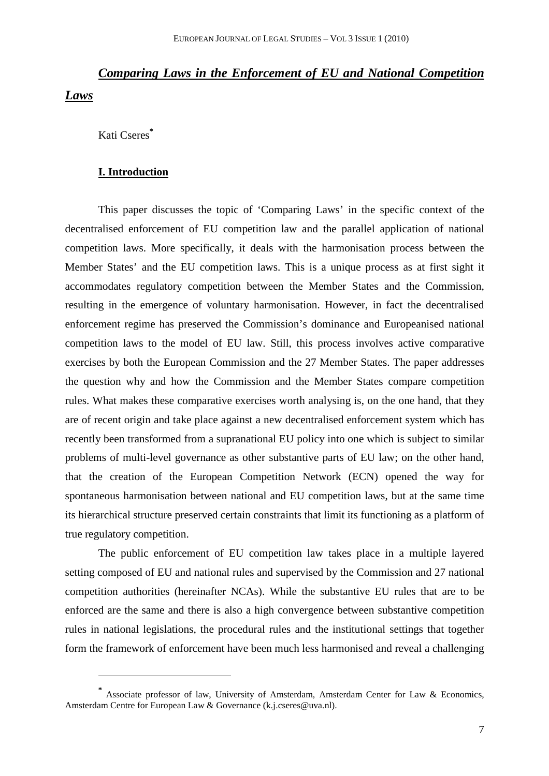# *Comparing Laws in the Enforcement of EU and National Competition Laws*

Kati Cseres**\***

 $\overline{a}$ 

#### **I. Introduction**

This paper discusses the topic of 'Comparing Laws' in the specific context of the decentralised enforcement of EU competition law and the parallel application of national competition laws. More specifically, it deals with the harmonisation process between the Member States' and the EU competition laws. This is a unique process as at first sight it accommodates regulatory competition between the Member States and the Commission, resulting in the emergence of voluntary harmonisation. However, in fact the decentralised enforcement regime has preserved the Commission's dominance and Europeanised national competition laws to the model of EU law. Still, this process involves active comparative exercises by both the European Commission and the 27 Member States. The paper addresses the question why and how the Commission and the Member States compare competition rules. What makes these comparative exercises worth analysing is, on the one hand, that they are of recent origin and take place against a new decentralised enforcement system which has recently been transformed from a supranational EU policy into one which is subject to similar problems of multi-level governance as other substantive parts of EU law; on the other hand, that the creation of the European Competition Network (ECN) opened the way for spontaneous harmonisation between national and EU competition laws, but at the same time its hierarchical structure preserved certain constraints that limit its functioning as a platform of true regulatory competition.

The public enforcement of EU competition law takes place in a multiple layered setting composed of EU and national rules and supervised by the Commission and 27 national competition authorities (hereinafter NCAs). While the substantive EU rules that are to be enforced are the same and there is also a high convergence between substantive competition rules in national legislations, the procedural rules and the institutional settings that together form the framework of enforcement have been much less harmonised and reveal a challenging

**<sup>\*</sup>** Associate professor of law, University of Amsterdam, Amsterdam Center for Law & Economics, Amsterdam Centre for European Law & Governance (k.j.cseres@uva.nl).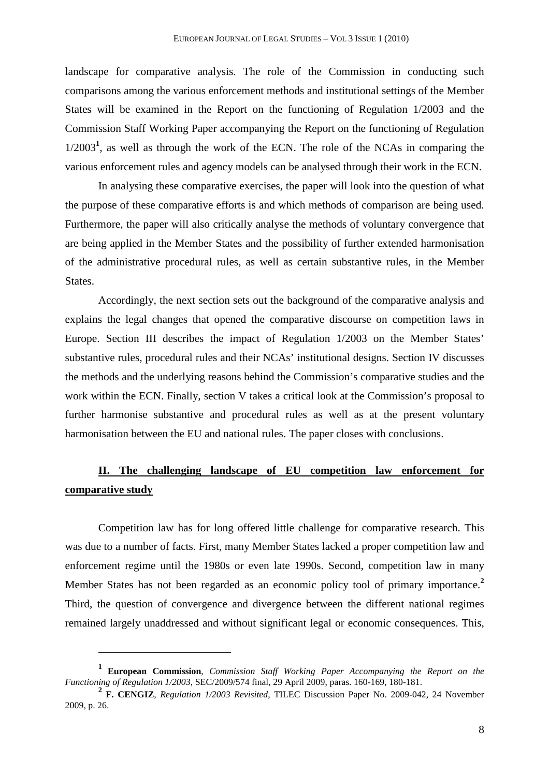landscape for comparative analysis. The role of the Commission in conducting such comparisons among the various enforcement methods and institutional settings of the Member States will be examined in the Report on the functioning of Regulation 1/2003 and the Commission Staff Working Paper accompanying the Report on the functioning of Regulation 1/2003**<sup>1</sup>** , as well as through the work of the ECN. The role of the NCAs in comparing the various enforcement rules and agency models can be analysed through their work in the ECN.

In analysing these comparative exercises, the paper will look into the question of what the purpose of these comparative efforts is and which methods of comparison are being used. Furthermore, the paper will also critically analyse the methods of voluntary convergence that are being applied in the Member States and the possibility of further extended harmonisation of the administrative procedural rules, as well as certain substantive rules, in the Member States.

Accordingly, the next section sets out the background of the comparative analysis and explains the legal changes that opened the comparative discourse on competition laws in Europe. Section III describes the impact of Regulation 1/2003 on the Member States' substantive rules, procedural rules and their NCAs' institutional designs. Section IV discusses the methods and the underlying reasons behind the Commission's comparative studies and the work within the ECN. Finally, section V takes a critical look at the Commission's proposal to further harmonise substantive and procedural rules as well as at the present voluntary harmonisation between the EU and national rules. The paper closes with conclusions.

## **II. The challenging landscape of EU competition law enforcement for comparative study**

Competition law has for long offered little challenge for comparative research. This was due to a number of facts. First, many Member States lacked a proper competition law and enforcement regime until the 1980s or even late 1990s. Second, competition law in many Member States has not been regarded as an economic policy tool of primary importance.**<sup>2</sup>** Third, the question of convergence and divergence between the different national regimes remained largely unaddressed and without significant legal or economic consequences. This,

l

**<sup>1</sup> European Commission**, *Commission Staff Working Paper Accompanying the Report on the Functioning of Regulation 1/2003*, SEC/2009/574 final, 29 April 2009, paras. 160-169, 180-181.

**<sup>2</sup> F. CENGIZ**, *Regulation 1/2003 Revisited*, TILEC Discussion Paper No. 2009-042, 24 November 2009, p. 26.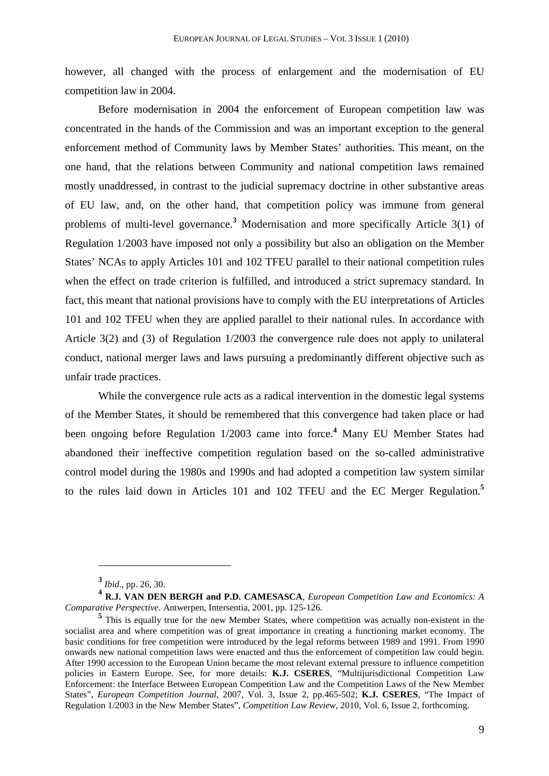however, all changed with the process of enlargement and the modernisation of EU competition law in 2004.

Before modernisation in 2004 the enforcement of European competition law was concentrated in the hands of the Commission and was an important exception to the general enforcement method of Community laws by Member States' authorities. This meant, on the one hand, that the relations between Community and national competition laws remained mostly unaddressed, in contrast to the judicial supremacy doctrine in other substantive areas of EU law, and, on the other hand, that competition policy was immune from general problems of multi-level governance.**<sup>3</sup>** Modernisation and more specifically Article 3(1) of Regulation 1/2003 have imposed not only a possibility but also an obligation on the Member States' NCAs to apply Articles 101 and 102 TFEU parallel to their national competition rules when the effect on trade criterion is fulfilled, and introduced a strict supremacy standard. In fact, this meant that national provisions have to comply with the EU interpretations of Articles 101 and 102 TFEU when they are applied parallel to their national rules. In accordance with Article 3(2) and (3) of Regulation 1/2003 the convergence rule does not apply to unilateral conduct, national merger laws and laws pursuing a predominantly different objective such as unfair trade practices.

While the convergence rule acts as a radical intervention in the domestic legal systems of the Member States, it should be remembered that this convergence had taken place or had been ongoing before Regulation 1/2003 came into force.**<sup>4</sup>** Many EU Member States had abandoned their ineffective competition regulation based on the so-called administrative control model during the 1980s and 1990s and had adopted a competition law system similar to the rules laid down in Articles 101 and 102 TFEU and the EC Merger Regulation.**<sup>5</sup>**

**<sup>3</sup>** *Ibid*., pp. 26, 30.

**<sup>4</sup> R.J. VAN DEN BERGH and P.D. CAMESASCA**, *European Competition Law and Economics: A Comparative Perspective*. Antwerpen, Intersentia, 2001, pp. 125-126.

<sup>&</sup>lt;sup>5</sup> This is equally true for the new Member States, where competition was actually non-existent in the socialist area and where competition was of great importance in creating a functioning market economy. The basic conditions for free competition were introduced by the legal reforms between 1989 and 1991. From 1990 onwards new national competition laws were enacted and thus the enforcement of competition law could begin. After 1990 accession to the European Union became the most relevant external pressure to influence competition policies in Eastern Europe. See, for more details: **K.J. CSERES**, "Multijurisdictional Competition Law Enforcement: the Interface Between European Competition Law and the Competition Laws of the New Member States", *European Competition Journal*, 2007, Vol. 3, Issue 2, pp.465-502; **K.J. CSERES**, "The Impact of Regulation 1/2003 in the New Member States", *Competition Law Review*, 2010, Vol. 6, Issue 2, forthcoming.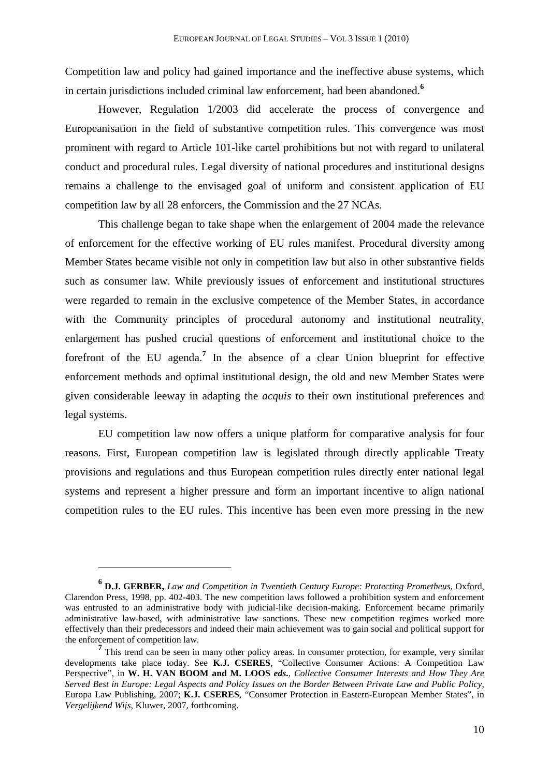Competition law and policy had gained importance and the ineffective abuse systems, which in certain jurisdictions included criminal law enforcement, had been abandoned.**<sup>6</sup>**

However, Regulation 1/2003 did accelerate the process of convergence and Europeanisation in the field of substantive competition rules. This convergence was most prominent with regard to Article 101-like cartel prohibitions but not with regard to unilateral conduct and procedural rules. Legal diversity of national procedures and institutional designs remains a challenge to the envisaged goal of uniform and consistent application of EU competition law by all 28 enforcers, the Commission and the 27 NCAs.

This challenge began to take shape when the enlargement of 2004 made the relevance of enforcement for the effective working of EU rules manifest. Procedural diversity among Member States became visible not only in competition law but also in other substantive fields such as consumer law. While previously issues of enforcement and institutional structures were regarded to remain in the exclusive competence of the Member States, in accordance with the Community principles of procedural autonomy and institutional neutrality, enlargement has pushed crucial questions of enforcement and institutional choice to the forefront of the EU agenda.**<sup>7</sup>** In the absence of a clear Union blueprint for effective enforcement methods and optimal institutional design, the old and new Member States were given considerable leeway in adapting the *acquis* to their own institutional preferences and legal systems.

EU competition law now offers a unique platform for comparative analysis for four reasons. First, European competition law is legislated through directly applicable Treaty provisions and regulations and thus European competition rules directly enter national legal systems and represent a higher pressure and form an important incentive to align national competition rules to the EU rules. This incentive has been even more pressing in the new

**<sup>6</sup> D.J. GERBER,** *Law and Competition in Twentieth Century Europe: Protecting Prometheus*, Oxford, Clarendon Press, 1998, pp. 402-403. The new competition laws followed a prohibition system and enforcement was entrusted to an administrative body with judicial-like decision-making. Enforcement became primarily administrative law-based, with administrative law sanctions. These new competition regimes worked more effectively than their predecessors and indeed their main achievement was to gain social and political support for the enforcement of competition law.

<sup>&</sup>lt;sup>7</sup> This trend can be seen in many other policy areas. In consumer protection, for example, very similar developments take place today. See **K.J. CSERES**, "Collective Consumer Actions: A Competition Law Perspective", in **W. H. VAN BOOM and M. LOOS** *eds***.**, *Collective Consumer Interests and How They Are Served Best in Europe: Legal Aspects and Policy Issues on the Border Between Private Law and Public Policy*, Europa Law Publishing, 2007; **K.J. CSERES**, "Consumer Protection in Eastern-European Member States", in *Vergelijkend Wijs*, Kluwer, 2007, forthcoming.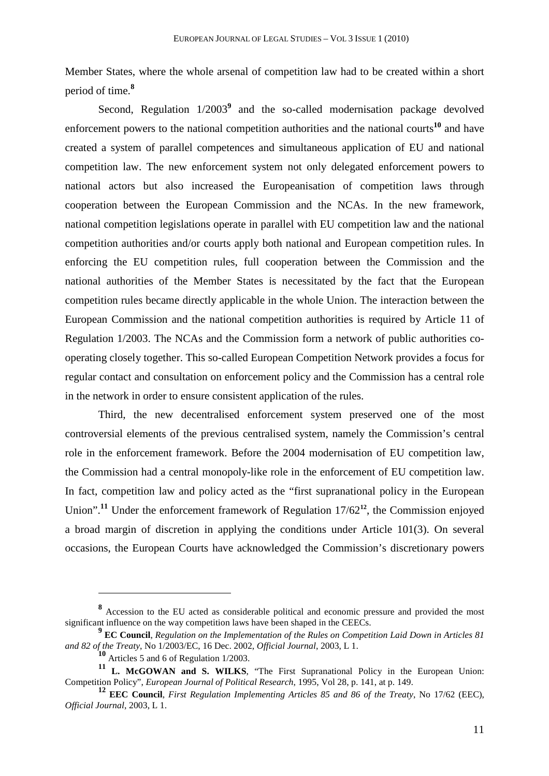Member States, where the whole arsenal of competition law had to be created within a short period of time.**<sup>8</sup>**

Second, Regulation  $1/2003^9$  and the so-called modernisation package devolved enforcement powers to the national competition authorities and the national courts**<sup>10</sup>** and have created a system of parallel competences and simultaneous application of EU and national competition law. The new enforcement system not only delegated enforcement powers to national actors but also increased the Europeanisation of competition laws through cooperation between the European Commission and the NCAs. In the new framework, national competition legislations operate in parallel with EU competition law and the national competition authorities and/or courts apply both national and European competition rules. In enforcing the EU competition rules, full cooperation between the Commission and the national authorities of the Member States is necessitated by the fact that the European competition rules became directly applicable in the whole Union. The interaction between the European Commission and the national competition authorities is required by Article 11 of Regulation 1/2003. The NCAs and the Commission form a network of public authorities cooperating closely together. This so-called European Competition Network provides a focus for regular contact and consultation on enforcement policy and the Commission has a central role in the network in order to ensure consistent application of the rules.

Third, the new decentralised enforcement system preserved one of the most controversial elements of the previous centralised system, namely the Commission's central role in the enforcement framework. Before the 2004 modernisation of EU competition law, the Commission had a central monopoly-like role in the enforcement of EU competition law. In fact, competition law and policy acted as the "first supranational policy in the European Union".<sup>11</sup> Under the enforcement framework of Regulation 17/62<sup>12</sup>, the Commission enjoyed a broad margin of discretion in applying the conditions under Article 101(3). On several occasions, the European Courts have acknowledged the Commission's discretionary powers

**<sup>8</sup>** Accession to the EU acted as considerable political and economic pressure and provided the most significant influence on the way competition laws have been shaped in the CEECs.

**<sup>9</sup> EC Council**, *Regulation on the Implementation of the Rules on Competition Laid Down in Articles 81 and 82 of the Treaty*, No 1/2003/EC, 16 Dec. 2002, *Official Journal*, 2003, L 1.

**<sup>10</sup>** Articles 5 and 6 of Regulation 1/2003.

**<sup>11</sup> L. McGOWAN and S. WILKS**, "The First Supranational Policy in the European Union: Competition Policy", *European Journal of Political Research*, 1995, Vol 28, p. 141, at p. 149.

**<sup>12</sup> EEC Council**, *First Regulation Implementing Articles 85 and 86 of the Treaty*, No 17/62 (EEC), *Official Journal*, 2003, L 1.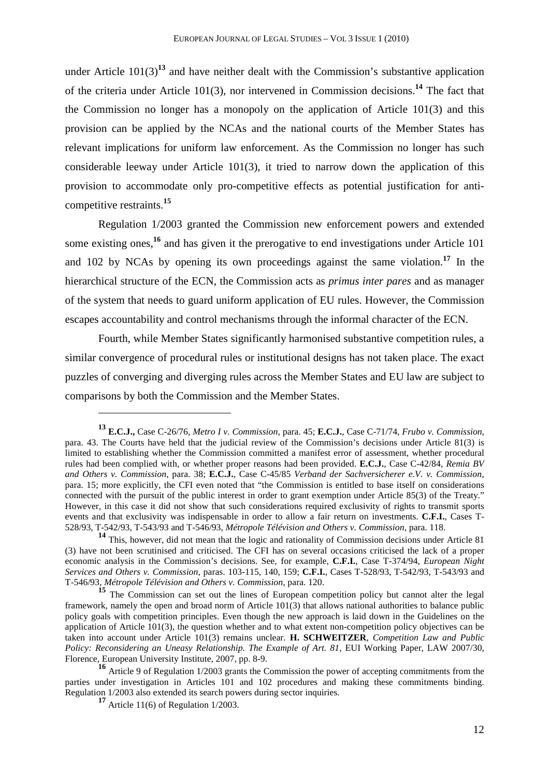under Article  $101(3)^{13}$  and have neither dealt with the Commission's substantive application of the criteria under Article 101(3), nor intervened in Commission decisions.**<sup>14</sup>** The fact that the Commission no longer has a monopoly on the application of Article 101(3) and this provision can be applied by the NCAs and the national courts of the Member States has relevant implications for uniform law enforcement. As the Commission no longer has such considerable leeway under Article 101(3), it tried to narrow down the application of this provision to accommodate only pro-competitive effects as potential justification for anticompetitive restraints.**<sup>15</sup>**

Regulation 1/2003 granted the Commission new enforcement powers and extended some existing ones,**<sup>16</sup>** and has given it the prerogative to end investigations under Article 101 and 102 by NCAs by opening its own proceedings against the same violation.**<sup>17</sup>** In the hierarchical structure of the ECN, the Commission acts as *primus inter pares* and as manager of the system that needs to guard uniform application of EU rules. However, the Commission escapes accountability and control mechanisms through the informal character of the ECN.

Fourth, while Member States significantly harmonised substantive competition rules, a similar convergence of procedural rules or institutional designs has not taken place. The exact puzzles of converging and diverging rules across the Member States and EU law are subject to comparisons by both the Commission and the Member States.

**<sup>13</sup> E.C.J.,** Case C-26/76, *Metro I v. Commission*, para. 45; **E.C.J.**, Case C-71/74, *Frubo v. Commission*, para. 43. The Courts have held that the judicial review of the Commission's decisions under Article 81(3) is limited to establishing whether the Commission committed a manifest error of assessment, whether procedural rules had been complied with, or whether proper reasons had been provided. **E.C.J.**, Case C-42/84, *Remia BV and Others v. Commission*, para. 38; **E.C.J.**, Case C-45/85 *Verband der Sachversicherer e.V. v. Commission*, para. 15; more explicitly, the CFI even noted that "the Commission is entitled to base itself on considerations connected with the pursuit of the public interest in order to grant exemption under Article 85(3) of the Treaty." However, in this case it did not show that such considerations required exclusivity of rights to transmit sports events and that exclusivity was indispensable in order to allow a fair return on investments. **C.F.I.**, Cases T-528/93, T-542/93, T-543/93 and T-546/93, *Métropole Télévision and Others v. Commission*, para. 118.

**<sup>14</sup>** This, however, did not mean that the logic and rationality of Commission decisions under Article 81 (3) have not been scrutinised and criticised. The CFI has on several occasions criticised the lack of a proper economic analysis in the Commission's decisions. See, for example, **C.F.I.**, Case T-374/94, *European Night Services and Others v. Commission*, paras. 103-115, 140, 159; **C.F.I.**, Cases T-528/93, T-542/93, T-543/93 and T-546/93, *Métropole Télévision and Others v. Commission*, para. 120.

<sup>&</sup>lt;sup>15</sup> The Commission can set out the lines of European competition policy but cannot alter the legal framework, namely the open and broad norm of Article 101(3) that allows national authorities to balance public policy goals with competition principles. Even though the new approach is laid down in the Guidelines on the application of Article 101(3), the question whether and to what extent non-competition policy objectives can be taken into account under Article 101(3) remains unclear. **H. SCHWEITZER**, *Competition Law and Public Policy: Reconsidering an Uneasy Relationship. The Example of Art. 81*, EUI Working Paper, LAW 2007/30, Florence, European University Institute, 2007, pp. 8-9.

**<sup>16</sup>** Article 9 of Regulation 1/2003 grants the Commission the power of accepting commitments from the parties under investigation in Articles 101 and 102 procedures and making these commitments binding. Regulation 1/2003 also extended its search powers during sector inquiries.

**<sup>17</sup>** Article 11(6) of Regulation 1/2003.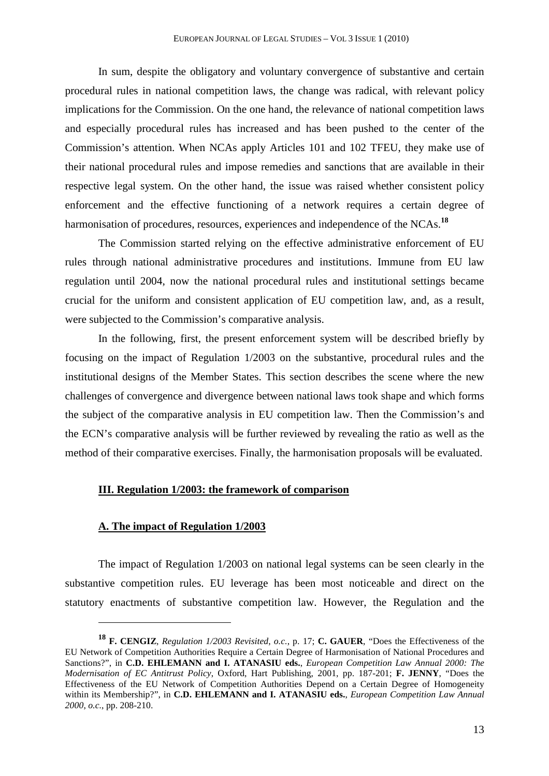In sum, despite the obligatory and voluntary convergence of substantive and certain procedural rules in national competition laws, the change was radical, with relevant policy implications for the Commission. On the one hand, the relevance of national competition laws and especially procedural rules has increased and has been pushed to the center of the Commission's attention. When NCAs apply Articles 101 and 102 TFEU, they make use of their national procedural rules and impose remedies and sanctions that are available in their respective legal system. On the other hand, the issue was raised whether consistent policy enforcement and the effective functioning of a network requires a certain degree of harmonisation of procedures, resources, experiences and independence of the NCAs.**<sup>18</sup>**

The Commission started relying on the effective administrative enforcement of EU rules through national administrative procedures and institutions. Immune from EU law regulation until 2004, now the national procedural rules and institutional settings became crucial for the uniform and consistent application of EU competition law, and, as a result, were subjected to the Commission's comparative analysis.

In the following, first, the present enforcement system will be described briefly by focusing on the impact of Regulation 1/2003 on the substantive, procedural rules and the institutional designs of the Member States. This section describes the scene where the new challenges of convergence and divergence between national laws took shape and which forms the subject of the comparative analysis in EU competition law. Then the Commission's and the ECN's comparative analysis will be further reviewed by revealing the ratio as well as the method of their comparative exercises. Finally, the harmonisation proposals will be evaluated.

## **III. Regulation 1/2003: the framework of comparison**

#### **A. The impact of Regulation 1/2003**

 $\overline{a}$ 

The impact of Regulation 1/2003 on national legal systems can be seen clearly in the substantive competition rules. EU leverage has been most noticeable and direct on the statutory enactments of substantive competition law. However, the Regulation and the

**<sup>18</sup> F. CENGIZ**, *Regulation 1/2003 Revisited*, *o.c.*, p. 17; **C. GAUER**, "Does the Effectiveness of the EU Network of Competition Authorities Require a Certain Degree of Harmonisation of National Procedures and Sanctions?", in **C.D. EHLEMANN and I. ATANASIU eds.**, *European Competition Law Annual 2000: The Modernisation of EC Antitrust Policy*, Oxford, Hart Publishing, 2001, pp. 187-201; **F. JENNY**, "Does the Effectiveness of the EU Network of Competition Authorities Depend on a Certain Degree of Homogeneity within its Membership?", in **C.D. EHLEMANN and I. ATANASIU eds.**, *European Competition Law Annual 2000*, *o.c.*, pp. 208-210.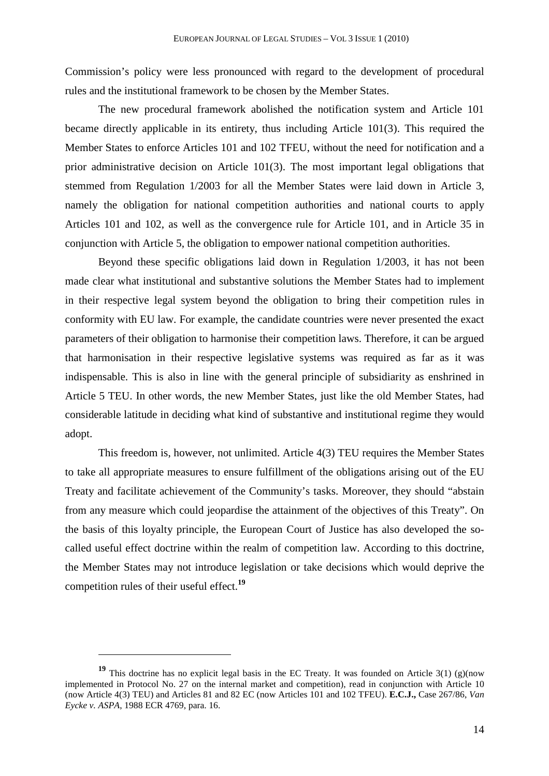Commission's policy were less pronounced with regard to the development of procedural rules and the institutional framework to be chosen by the Member States.

The new procedural framework abolished the notification system and Article 101 became directly applicable in its entirety, thus including Article 101(3). This required the Member States to enforce Articles 101 and 102 TFEU, without the need for notification and a prior administrative decision on Article 101(3). The most important legal obligations that stemmed from Regulation 1/2003 for all the Member States were laid down in Article 3, namely the obligation for national competition authorities and national courts to apply Articles 101 and 102, as well as the convergence rule for Article 101, and in Article 35 in conjunction with Article 5, the obligation to empower national competition authorities.

Beyond these specific obligations laid down in Regulation 1/2003, it has not been made clear what institutional and substantive solutions the Member States had to implement in their respective legal system beyond the obligation to bring their competition rules in conformity with EU law. For example, the candidate countries were never presented the exact parameters of their obligation to harmonise their competition laws. Therefore, it can be argued that harmonisation in their respective legislative systems was required as far as it was indispensable. This is also in line with the general principle of subsidiarity as enshrined in Article 5 TEU. In other words, the new Member States, just like the old Member States, had considerable latitude in deciding what kind of substantive and institutional regime they would adopt.

This freedom is, however, not unlimited. Article 4(3) TEU requires the Member States to take all appropriate measures to ensure fulfillment of the obligations arising out of the EU Treaty and facilitate achievement of the Community's tasks. Moreover, they should "abstain from any measure which could jeopardise the attainment of the objectives of this Treaty". On the basis of this loyalty principle, the European Court of Justice has also developed the socalled useful effect doctrine within the realm of competition law. According to this doctrine, the Member States may not introduce legislation or take decisions which would deprive the competition rules of their useful effect.**<sup>19</sup>**

**<sup>19</sup>** This doctrine has no explicit legal basis in the EC Treaty. It was founded on Article 3(1) (g)(now implemented in Protocol No. 27 on the internal market and competition), read in conjunction with Article 10 (now Article 4(3) TEU) and Articles 81 and 82 EC (now Articles 101 and 102 TFEU). **E.C.J.,** Case 267/86, *Van Eycke v. ASPA*, 1988 ECR 4769, para. 16.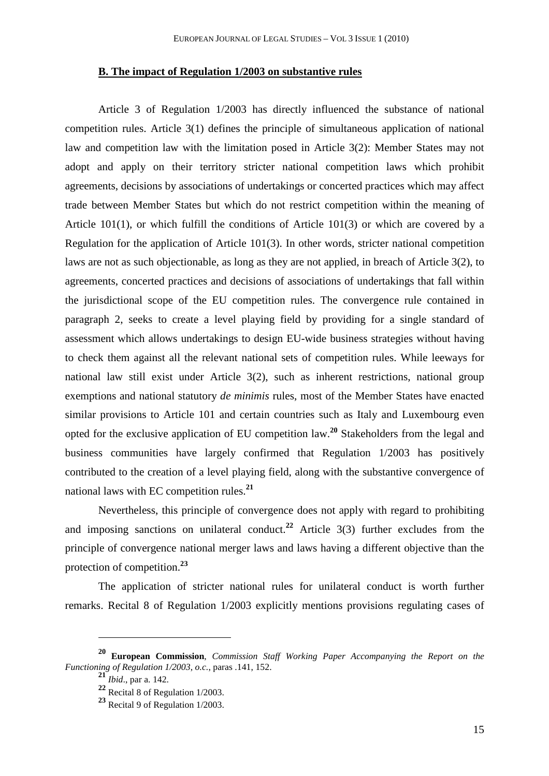## **B. The impact of Regulation 1/2003 on substantive rules**

Article 3 of Regulation 1/2003 has directly influenced the substance of national competition rules. Article 3(1) defines the principle of simultaneous application of national law and competition law with the limitation posed in Article 3(2): Member States may not adopt and apply on their territory stricter national competition laws which prohibit agreements, decisions by associations of undertakings or concerted practices which may affect trade between Member States but which do not restrict competition within the meaning of Article 101(1), or which fulfill the conditions of Article 101(3) or which are covered by a Regulation for the application of Article 101(3). In other words, stricter national competition laws are not as such objectionable, as long as they are not applied, in breach of Article 3(2), to agreements, concerted practices and decisions of associations of undertakings that fall within the jurisdictional scope of the EU competition rules. The convergence rule contained in paragraph 2, seeks to create a level playing field by providing for a single standard of assessment which allows undertakings to design EU-wide business strategies without having to check them against all the relevant national sets of competition rules. While leeways for national law still exist under Article 3(2), such as inherent restrictions, national group exemptions and national statutory *de minimis* rules, most of the Member States have enacted similar provisions to Article 101 and certain countries such as Italy and Luxembourg even opted for the exclusive application of EU competition law.**<sup>20</sup>** Stakeholders from the legal and business communities have largely confirmed that Regulation 1/2003 has positively contributed to the creation of a level playing field, along with the substantive convergence of national laws with EC competition rules.**<sup>21</sup>**

Nevertheless, this principle of convergence does not apply with regard to prohibiting and imposing sanctions on unilateral conduct.<sup>22</sup> Article  $3(3)$  further excludes from the principle of convergence national merger laws and laws having a different objective than the protection of competition.**<sup>23</sup>**

The application of stricter national rules for unilateral conduct is worth further remarks. Recital 8 of Regulation 1/2003 explicitly mentions provisions regulating cases of

**<sup>20</sup> European Commission**, *Commission Staff Working Paper Accompanying the Report on the Functioning of Regulation 1/2003*, *o.c.*, paras .141, 152.

 $\frac{21}{21}$ *Ibid.*, par a. 142.

**<sup>22</sup>** Recital 8 of Regulation 1/2003.

**<sup>23</sup>** Recital 9 of Regulation 1/2003.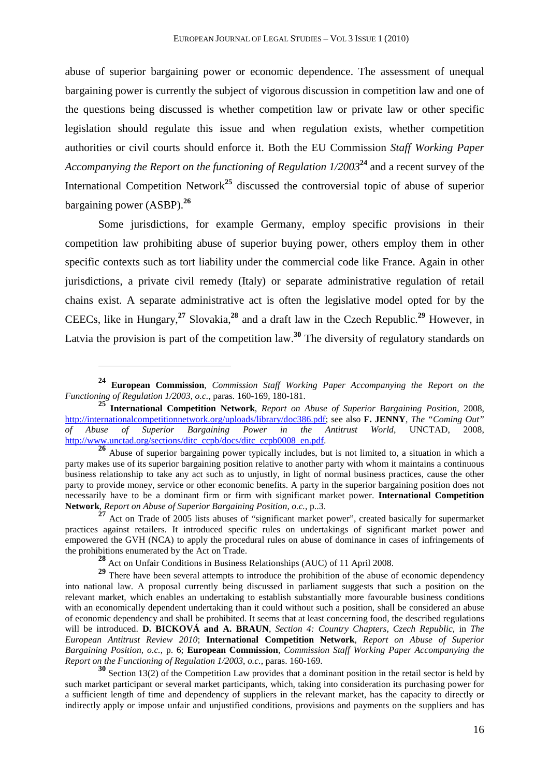abuse of superior bargaining power or economic dependence. The assessment of unequal bargaining power is currently the subject of vigorous discussion in competition law and one of the questions being discussed is whether competition law or private law or other specific legislation should regulate this issue and when regulation exists, whether competition authorities or civil courts should enforce it. Both the EU Commission *Staff Working Paper Accompanying the Report on the functioning of Regulation 1/2003***<sup>24</sup>** and a recent survey of the International Competition Network**<sup>25</sup>** discussed the controversial topic of abuse of superior bargaining power (ASBP).**<sup>26</sup>**

Some jurisdictions, for example Germany, employ specific provisions in their competition law prohibiting abuse of superior buying power, others employ them in other specific contexts such as tort liability under the commercial code like France. Again in other jurisdictions, a private civil remedy (Italy) or separate administrative regulation of retail chains exist. A separate administrative act is often the legislative model opted for by the CEECs, like in Hungary,**<sup>27</sup>** Slovakia,**<sup>28</sup>** and a draft law in the Czech Republic.**<sup>29</sup>** However, in Latvia the provision is part of the competition law. **<sup>30</sup>** The diversity of regulatory standards on

**<sup>24</sup> European Commission**, *Commission Staff Working Paper Accompanying the Report on the Functioning of Regulation 1/2003*, *o.c.*, paras. 160-169, 180-181.

**<sup>25</sup> International Competition Network**, *Report on Abuse of Superior Bargaining Position*, 2008, http://internationalcompetitionnetwork.org/uploads/library/doc386.pdf; see also **F. JENNY**, *The "Coming Out"*  of Abuse of Superior Bargaining Power in the Antitrust http://www.unctad.org/sections/ditc\_ccpb/docs/ditc\_ccpb0008\_en.pdf.

**<sup>26</sup>** Abuse of superior bargaining power typically includes, but is not limited to, a situation in which a party makes use of its superior bargaining position relative to another party with whom it maintains a continuous business relationship to take any act such as to unjustly, in light of normal business practices, cause the other party to provide money, service or other economic benefits. A party in the superior bargaining position does not necessarily have to be a dominant firm or firm with significant market power. **International Competition Network**, *Report on Abuse of Superior Bargaining Position, o.c.*, p..3.

<sup>&</sup>lt;sup>27</sup> Act on Trade of 2005 lists abuses of "significant market power", created basically for supermarket practices against retailers. It introduced specific rules on undertakings of significant market power and empowered the GVH (NCA) to apply the procedural rules on abuse of dominance in cases of infringements of the prohibitions enumerated by the Act on Trade.

**<sup>28</sup>** Act on Unfair Conditions in Business Relationships (AUC) of 11 April 2008.

<sup>&</sup>lt;sup>29</sup> There have been several attempts to introduce the prohibition of the abuse of economic dependency into national law. A proposal currently being discussed in parliament suggests that such a position on the relevant market, which enables an undertaking to establish substantially more favourable business conditions with an economically dependent undertaking than it could without such a position, shall be considered an abuse of economic dependency and shall be prohibited. It seems that at least concerning food, the described regulations will be introduced. **D. BICKOVÁ and A. BRAUN**, *Section 4: Country Chapters, Czech Republic*, in *The European Antitrust Review 2010*; **International Competition Network**, *Report on Abuse of Superior Bargaining Position, o.c.*, p. 6; **European Commission**, *Commission Staff Working Paper Accompanying the Report on the Functioning of Regulation 1/2003*, *o.c.*, paras. 160-169.

<sup>&</sup>lt;sup>30</sup> Section 13(2) of the Competition Law provides that a dominant position in the retail sector is held by such market participant or several market participants, which, taking into consideration its purchasing power for a sufficient length of time and dependency of suppliers in the relevant market, has the capacity to directly or indirectly apply or impose unfair and unjustified conditions, provisions and payments on the suppliers and has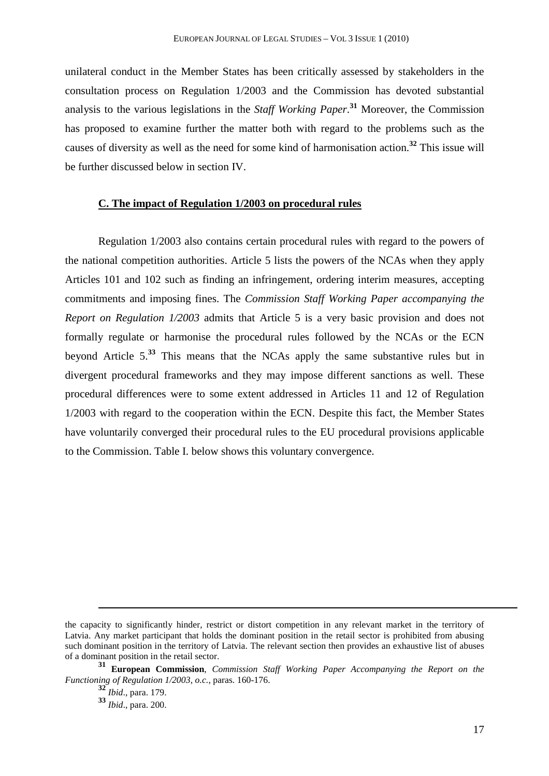unilateral conduct in the Member States has been critically assessed by stakeholders in the consultation process on Regulation 1/2003 and the Commission has devoted substantial analysis to the various legislations in the *Staff Working Paper*. **<sup>31</sup>** Moreover, the Commission has proposed to examine further the matter both with regard to the problems such as the causes of diversity as well as the need for some kind of harmonisation action.**<sup>32</sup>** This issue will be further discussed below in section IV.

#### **C. The impact of Regulation 1/2003 on procedural rules**

Regulation 1/2003 also contains certain procedural rules with regard to the powers of the national competition authorities. Article 5 lists the powers of the NCAs when they apply Articles 101 and 102 such as finding an infringement, ordering interim measures, accepting commitments and imposing fines. The *Commission Staff Working Paper accompanying the Report on Regulation 1/2003* admits that Article 5 is a very basic provision and does not formally regulate or harmonise the procedural rules followed by the NCAs or the ECN beyond Article 5.**<sup>33</sup>** This means that the NCAs apply the same substantive rules but in divergent procedural frameworks and they may impose different sanctions as well. These procedural differences were to some extent addressed in Articles 11 and 12 of Regulation 1/2003 with regard to the cooperation within the ECN. Despite this fact, the Member States have voluntarily converged their procedural rules to the EU procedural provisions applicable to the Commission. Table I. below shows this voluntary convergence.

l

the capacity to significantly hinder, restrict or distort competition in any relevant market in the territory of Latvia. Any market participant that holds the dominant position in the retail sector is prohibited from abusing such dominant position in the territory of Latvia. The relevant section then provides an exhaustive list of abuses of a dominant position in the retail sector.

**<sup>31</sup> European Commission**, *Commission Staff Working Paper Accompanying the Report on the Functioning of Regulation 1/2003*, *o.c.*, paras. 160-176.

**<sup>32</sup>** *Ibid*., para. 179.

**<sup>33</sup>** *Ibid*., para. 200.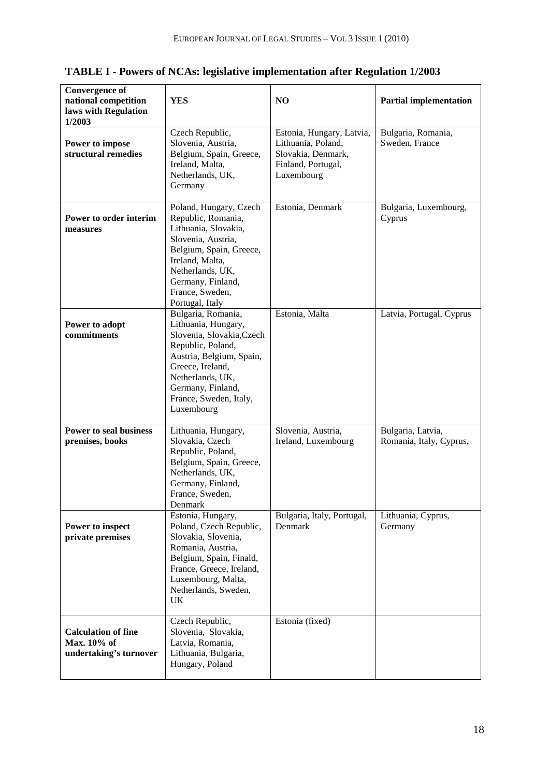| <b>Convergence of</b><br>national competition<br>laws with Regulation<br>1/2003 | <b>YES</b>                                                                                                                                                                                                                   | NO                                                                                                        | <b>Partial implementation</b>                |
|---------------------------------------------------------------------------------|------------------------------------------------------------------------------------------------------------------------------------------------------------------------------------------------------------------------------|-----------------------------------------------------------------------------------------------------------|----------------------------------------------|
| Power to impose<br>structural remedies                                          | Czech Republic,<br>Slovenia, Austria,<br>Belgium, Spain, Greece,<br>Ireland, Malta,<br>Netherlands, UK,<br>Germany                                                                                                           | Estonia, Hungary, Latvia,<br>Lithuania, Poland,<br>Slovakia, Denmark,<br>Finland, Portugal,<br>Luxembourg | Bulgaria, Romania,<br>Sweden, France         |
| Power to order interim<br>measures                                              | Poland, Hungary, Czech<br>Republic, Romania,<br>Lithuania, Slovakia,<br>Slovenia, Austria,<br>Belgium, Spain, Greece,<br>Ireland, Malta,<br>Netherlands, UK,<br>Germany, Finland,<br>France, Sweden,<br>Portugal, Italy      | Estonia, Denmark                                                                                          | Bulgaria, Luxembourg,<br>Cyprus              |
| Power to adopt<br>commitments                                                   | Bulgaria, Romania,<br>Lithuania, Hungary,<br>Slovenia, Slovakia, Czech<br>Republic, Poland,<br>Austria, Belgium, Spain,<br>Greece, Ireland,<br>Netherlands, UK,<br>Germany, Finland,<br>France, Sweden, Italy,<br>Luxembourg | Estonia, Malta                                                                                            | Latvia, Portugal, Cyprus                     |
| <b>Power to seal business</b><br>premises, books                                | Lithuania, Hungary,<br>Slovakia, Czech<br>Republic, Poland,<br>Belgium, Spain, Greece,<br>Netherlands, UK,<br>Germany, Finland,<br>France, Sweden,<br>Denmark                                                                | Slovenia, Austria,<br>Ireland, Luxembourg                                                                 | Bulgaria, Latvia,<br>Romania, Italy, Cyprus, |
| Power to inspect<br>private premises                                            | Estonia, Hungary,<br>Poland, Czech Republic,<br>Slovakia, Slovenia,<br>Romania, Austria,<br>Belgium, Spain, Finald,<br>France, Greece, Ireland,<br>Luxembourg, Malta,<br>Netherlands, Sweden,<br><b>UK</b>                   | Bulgaria, Italy, Portugal,<br>Denmark                                                                     | Lithuania, Cyprus,<br>Germany                |
| <b>Calculation of fine</b><br>Max. 10% of<br>undertaking's turnover             | Czech Republic,<br>Slovenia, Slovakia,<br>Latvia, Romania,<br>Lithuania, Bulgaria,<br>Hungary, Poland                                                                                                                        | Estonia (fixed)                                                                                           |                                              |

**TABLE I - Powers of NCAs: legislative implementation after Regulation 1/2003**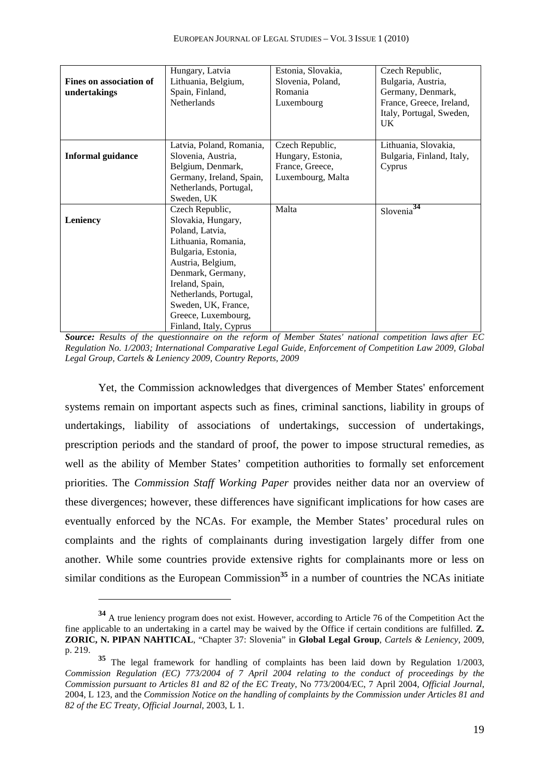|                          | Hungary, Latvia          | Estonia, Slovakia, | Czech Republic,             |
|--------------------------|--------------------------|--------------------|-----------------------------|
| Fines on association of  | Lithuania, Belgium,      | Slovenia, Poland,  | Bulgaria, Austria,          |
| undertakings             | Spain, Finland,          | Romania            | Germany, Denmark,           |
|                          | Netherlands              | Luxembourg         | France, Greece, Ireland,    |
|                          |                          |                    | Italy, Portugal, Sweden,    |
|                          |                          |                    | UK                          |
|                          |                          |                    |                             |
|                          | Latvia, Poland, Romania, | Czech Republic,    | Lithuania, Slovakia,        |
| <b>Informal guidance</b> | Slovenia, Austria,       | Hungary, Estonia,  | Bulgaria, Finland, Italy,   |
|                          | Belgium, Denmark,        | France, Greece,    | Cyprus                      |
|                          | Germany, Ireland, Spain, | Luxembourg, Malta  |                             |
|                          | Netherlands, Portugal,   |                    |                             |
|                          | Sweden, UK               |                    |                             |
|                          | Czech Republic,          | Malta              | 34<br>Slovenia <sup>®</sup> |
| Leniency                 | Slovakia, Hungary,       |                    |                             |
|                          | Poland, Latvia,          |                    |                             |
|                          | Lithuania, Romania,      |                    |                             |
|                          | Bulgaria, Estonia,       |                    |                             |
|                          | Austria, Belgium,        |                    |                             |
|                          | Denmark, Germany,        |                    |                             |
|                          | Ireland, Spain,          |                    |                             |
|                          | Netherlands, Portugal,   |                    |                             |
|                          | Sweden, UK, France,      |                    |                             |
|                          | Greece, Luxembourg,      |                    |                             |
|                          | Finland, Italy, Cyprus   |                    |                             |

*Source: Results of the questionnaire on the reform of Member States' national competition laws after EC Regulation No. 1/2003; International Comparative Legal Guide, Enforcement of Competition Law 2009, Global Legal Group, Cartels & Leniency 2009, Country Reports, 2009* 

Yet, the Commission acknowledges that divergences of Member States' enforcement systems remain on important aspects such as fines, criminal sanctions, liability in groups of undertakings, liability of associations of undertakings, succession of undertakings, prescription periods and the standard of proof, the power to impose structural remedies, as well as the ability of Member States' competition authorities to formally set enforcement priorities. The *Commission Staff Working Paper* provides neither data nor an overview of these divergences; however, these differences have significant implications for how cases are eventually enforced by the NCAs. For example, the Member States' procedural rules on complaints and the rights of complainants during investigation largely differ from one another. While some countries provide extensive rights for complainants more or less on similar conditions as the European Commission<sup>35</sup> in a number of countries the NCAs initiate

**<sup>34</sup>** A true leniency program does not exist. However, according to Article 76 of the Competition Act the fine applicable to an undertaking in a cartel may be waived by the Office if certain conditions are fulfilled. **Z. ZORIC, N. PIPAN NAHTICAL**, "Chapter 37: Slovenia" in **Global Legal Group**, *Cartels & Leniency*, 2009, p. 219.

**<sup>35</sup>** The legal framework for handling of complaints has been laid down by Regulation 1/2003, *Commission Regulation (EC) 773/2004 of 7 April 2004 relating to the conduct of proceedings by the Commission pursuant to Articles 81 and 82 of the EC Treaty*, No 773/2004/EC, 7 April 2004, *Official Journal*, 2004, L 123, and the *Commission Notice on the handling of complaints by the Commission under Articles 81 and 82 of the EC Treaty, Official Journal*, 2003, L 1.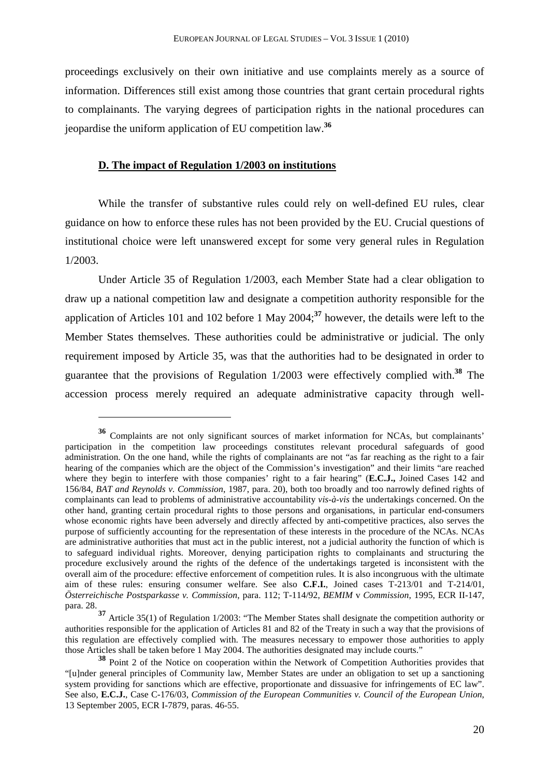proceedings exclusively on their own initiative and use complaints merely as a source of information. Differences still exist among those countries that grant certain procedural rights to complainants. The varying degrees of participation rights in the national procedures can jeopardise the uniform application of EU competition law.**<sup>36</sup>**

#### **D. The impact of Regulation 1/2003 on institutions**

 $\overline{a}$ 

While the transfer of substantive rules could rely on well-defined EU rules, clear guidance on how to enforce these rules has not been provided by the EU. Crucial questions of institutional choice were left unanswered except for some very general rules in Regulation 1/2003.

Under Article 35 of Regulation 1/2003, each Member State had a clear obligation to draw up a national competition law and designate a competition authority responsible for the application of Articles 101 and 102 before 1 May 2004;**<sup>37</sup>** however, the details were left to the Member States themselves. These authorities could be administrative or judicial. The only requirement imposed by Article 35, was that the authorities had to be designated in order to guarantee that the provisions of Regulation 1/2003 were effectively complied with.**<sup>38</sup>** The accession process merely required an adequate administrative capacity through well-

**<sup>36</sup>** Complaints are not only significant sources of market information for NCAs, but complainants' participation in the competition law proceedings constitutes relevant procedural safeguards of good administration. On the one hand, while the rights of complainants are not "as far reaching as the right to a fair hearing of the companies which are the object of the Commission's investigation" and their limits "are reached where they begin to interfere with those companies' right to a fair hearing" (**E.C.J.,** Joined Cases 142 and 156/84*, BAT and Reynolds v. Commission*, 1987, para. 20), both too broadly and too narrowly defined rights of complainants can lead to problems of administrative accountability *vis-à-vis* the undertakings concerned. On the other hand, granting certain procedural rights to those persons and organisations, in particular end-consumers whose economic rights have been adversely and directly affected by anti-competitive practices, also serves the purpose of sufficiently accounting for the representation of these interests in the procedure of the NCAs. NCAs are administrative authorities that must act in the public interest, not a judicial authority the function of which is to safeguard individual rights. Moreover, denying participation rights to complainants and structuring the procedure exclusively around the rights of the defence of the undertakings targeted is inconsistent with the overall aim of the procedure: effective enforcement of competition rules. It is also incongruous with the ultimate aim of these rules: ensuring consumer welfare. See also **C.F.I.**, Joined cases T-213/01 and T-214/01, *Österreichische Postsparkasse v. Commission*, para. 112; T-114/92, *BEMIM* v *Commission*, 1995, ECR II-147, para. 28.

**<sup>37</sup>** Article 35(1) of Regulation 1/2003: "The Member States shall designate the competition authority or authorities responsible for the application of Articles 81 and 82 of the Treaty in such a way that the provisions of this regulation are effectively complied with. The measures necessary to empower those authorities to apply those Articles shall be taken before 1 May 2004. The authorities designated may include courts."

**<sup>38</sup>** Point 2 of the Notice on cooperation within the Network of Competition Authorities provides that "[u]nder general principles of Community law, Member States are under an obligation to set up a sanctioning system providing for sanctions which are effective, proportionate and dissuasive for infringements of EC law". See also, **E.C.J.**, Case C-176/03, *Commission of the European Communities v. Council of the European Union*, 13 September 2005, ECR I-7879, paras. 46-55.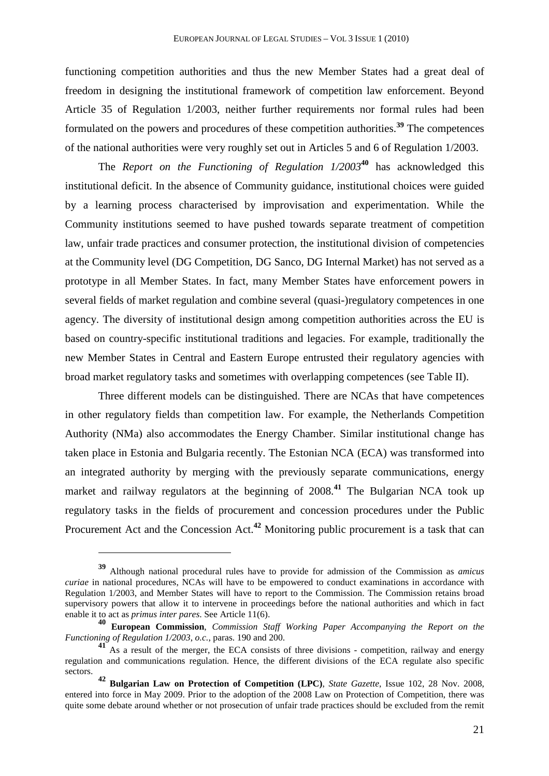functioning competition authorities and thus the new Member States had a great deal of freedom in designing the institutional framework of competition law enforcement. Beyond Article 35 of Regulation 1/2003, neither further requirements nor formal rules had been formulated on the powers and procedures of these competition authorities.**<sup>39</sup>** The competences of the national authorities were very roughly set out in Articles 5 and 6 of Regulation 1/2003.

The *Report on the Functioning of Regulation 1/2003***<sup>40</sup>** has acknowledged this institutional deficit. In the absence of Community guidance, institutional choices were guided by a learning process characterised by improvisation and experimentation. While the Community institutions seemed to have pushed towards separate treatment of competition law, unfair trade practices and consumer protection, the institutional division of competencies at the Community level (DG Competition, DG Sanco, DG Internal Market) has not served as a prototype in all Member States. In fact, many Member States have enforcement powers in several fields of market regulation and combine several (quasi-)regulatory competences in one agency. The diversity of institutional design among competition authorities across the EU is based on country-specific institutional traditions and legacies. For example, traditionally the new Member States in Central and Eastern Europe entrusted their regulatory agencies with broad market regulatory tasks and sometimes with overlapping competences (see Table II).

Three different models can be distinguished. There are NCAs that have competences in other regulatory fields than competition law. For example, the Netherlands Competition Authority (NMa) also accommodates the Energy Chamber. Similar institutional change has taken place in Estonia and Bulgaria recently. The Estonian NCA (ECA) was transformed into an integrated authority by merging with the previously separate communications, energy market and railway regulators at the beginning of 2008.**<sup>41</sup>** The Bulgarian NCA took up regulatory tasks in the fields of procurement and concession procedures under the Public Procurement Act and the Concession Act.**<sup>42</sup>** Monitoring public procurement is a task that can

**<sup>39</sup>** Although national procedural rules have to provide for admission of the Commission as *amicus curiae* in national procedures, NCAs will have to be empowered to conduct examinations in accordance with Regulation 1/2003, and Member States will have to report to the Commission. The Commission retains broad supervisory powers that allow it to intervene in proceedings before the national authorities and which in fact enable it to act as *primus inter pares*. See Article 11(6).

**<sup>40</sup> European Commission**, *Commission Staff Working Paper Accompanying the Report on the Functioning of Regulation 1/2003*, *o.c.*, paras. 190 and 200.

**<sup>41</sup>** As a result of the merger, the ECA consists of three divisions - competition, railway and energy regulation and communications regulation. Hence, the different divisions of the ECA regulate also specific sectors.

**<sup>42</sup> Bulgarian Law on Protection of Competition (LPC)**, *State Gazette*, Issue 102, 28 Nov. 2008, entered into force in May 2009. Prior to the adoption of the 2008 Law on Protection of Competition, there was quite some debate around whether or not prosecution of unfair trade practices should be excluded from the remit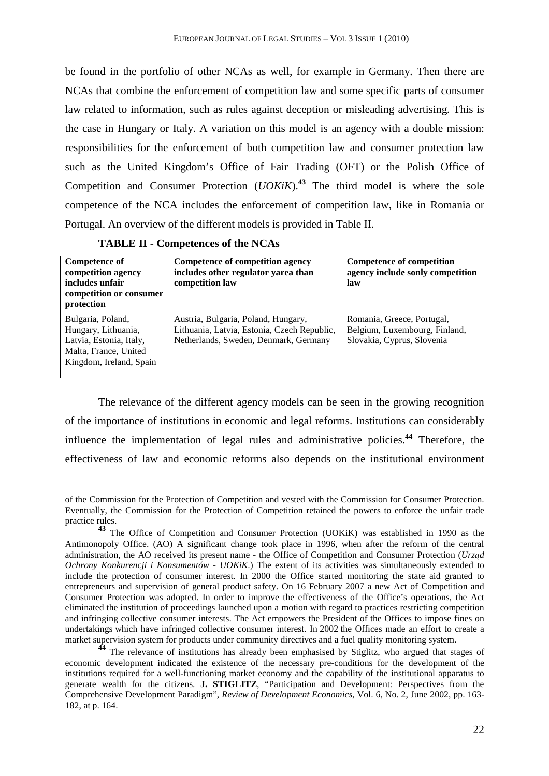be found in the portfolio of other NCAs as well, for example in Germany. Then there are NCAs that combine the enforcement of competition law and some specific parts of consumer law related to information, such as rules against deception or misleading advertising. This is the case in Hungary or Italy. A variation on this model is an agency with a double mission: responsibilities for the enforcement of both competition law and consumer protection law such as the United Kingdom's Office of Fair Trading (OFT) or the Polish Office of Competition and Consumer Protection (*UOKiK*).**<sup>43</sup>** The third model is where the sole competence of the NCA includes the enforcement of competition law, like in Romania or Portugal. An overview of the different models is provided in Table II.

 $\overline{a}$ 

| <b>Competence of</b><br>competition agency<br>includes unfair<br>competition or consumer<br>protection                  | Competence of competition agency<br>includes other regulator yarea than<br>competition law                                  | Competence of competition<br>agency include sonly competition<br>law                      |
|-------------------------------------------------------------------------------------------------------------------------|-----------------------------------------------------------------------------------------------------------------------------|-------------------------------------------------------------------------------------------|
| Bulgaria, Poland,<br>Hungary, Lithuania,<br>Latvia, Estonia, Italy,<br>Malta, France, United<br>Kingdom, Ireland, Spain | Austria, Bulgaria, Poland, Hungary,<br>Lithuania, Latvia, Estonia, Czech Republic,<br>Netherlands, Sweden, Denmark, Germany | Romania, Greece, Portugal,<br>Belgium, Luxembourg, Finland,<br>Slovakia, Cyprus, Slovenia |

The relevance of the different agency models can be seen in the growing recognition of the importance of institutions in economic and legal reforms. Institutions can considerably influence the implementation of legal rules and administrative policies.**<sup>44</sup>** Therefore, the effectiveness of law and economic reforms also depends on the institutional environment

**<sup>44</sup>** The relevance of institutions has already been emphasised by Stiglitz, who argued that stages of economic development indicated the existence of the necessary pre-conditions for the development of the institutions required for a well-functioning market economy and the capability of the institutional apparatus to generate wealth for the citizens. **J. STIGLITZ**, "Participation and Development: Perspectives from the Comprehensive Development Paradigm", *Review of Development Economics*, Vol. 6, No. 2, June 2002, pp. 163- 182, at p. 164.

of the Commission for the Protection of Competition and vested with the Commission for Consumer Protection. Eventually, the Commission for the Protection of Competition retained the powers to enforce the unfair trade practice rules.

**<sup>43</sup>** The Office of Competition and Consumer Protection (UOKiK) was established in 1990 as the Antimonopoly Office. (AO) A significant change took place in 1996, when after the reform of the central administration, the AO received its present name - the Office of Competition and Consumer Protection (*Urząd Ochrony Konkurencji i Konsumentów - UOKiK*.) The extent of its activities was simultaneously extended to include the protection of consumer interest. In 2000 the Office started monitoring the state aid granted to entrepreneurs and supervision of general product safety. On 16 February 2007 a new Act of Competition and Consumer Protection was adopted. In order to improve the effectiveness of the Office's operations, the Act eliminated the institution of proceedings launched upon a motion with regard to practices restricting competition and infringing collective consumer interests. The Act empowers the President of the Offices to impose fines on undertakings which have infringed collective consumer interest. In 2002 the Offices made an effort to create a market supervision system for products under community directives and a fuel quality monitoring system.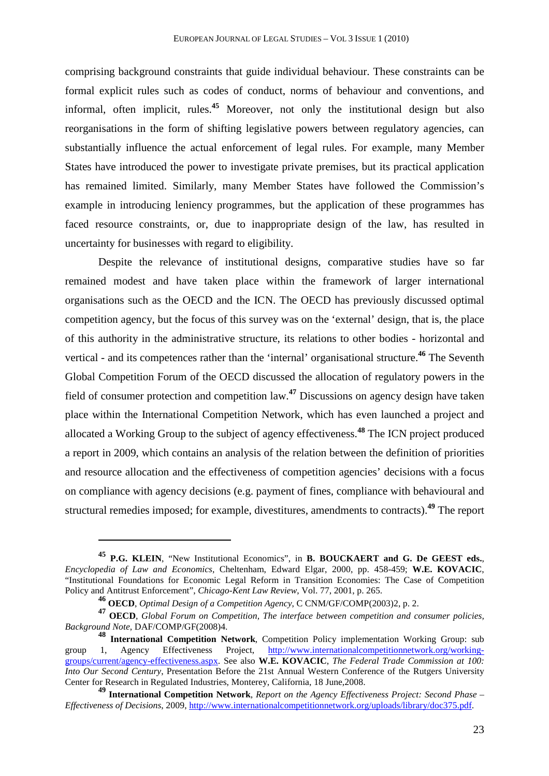comprising background constraints that guide individual behaviour. These constraints can be formal explicit rules such as codes of conduct, norms of behaviour and conventions, and informal, often implicit, rules.**<sup>45</sup>** Moreover, not only the institutional design but also reorganisations in the form of shifting legislative powers between regulatory agencies, can substantially influence the actual enforcement of legal rules. For example, many Member States have introduced the power to investigate private premises, but its practical application has remained limited. Similarly, many Member States have followed the Commission's example in introducing leniency programmes, but the application of these programmes has faced resource constraints, or, due to inappropriate design of the law, has resulted in uncertainty for businesses with regard to eligibility.

Despite the relevance of institutional designs, comparative studies have so far remained modest and have taken place within the framework of larger international organisations such as the OECD and the ICN. The OECD has previously discussed optimal competition agency, but the focus of this survey was on the 'external' design, that is, the place of this authority in the administrative structure, its relations to other bodies - horizontal and vertical - and its competences rather than the 'internal' organisational structure.**<sup>46</sup>** The Seventh Global Competition Forum of the OECD discussed the allocation of regulatory powers in the field of consumer protection and competition law.**<sup>47</sup>** Discussions on agency design have taken place within the International Competition Network, which has even launched a project and allocated a Working Group to the subject of agency effectiveness.**<sup>48</sup>** The ICN project produced a report in 2009, which contains an analysis of the relation between the definition of priorities and resource allocation and the effectiveness of competition agencies' decisions with a focus on compliance with agency decisions (e.g. payment of fines, compliance with behavioural and structural remedies imposed; for example, divestitures, amendments to contracts).**<sup>49</sup>** The report

**<sup>45</sup> P.G. KLEIN**, "New Institutional Economics", in **B. BOUCKAERT and G. De GEEST eds.**, *Encyclopedia of Law and Economics*, Cheltenham, Edward Elgar, 2000, pp. 458-459; **W.E. KOVACIC**, "Institutional Foundations for Economic Legal Reform in Transition Economies: The Case of Competition Policy and Antitrust Enforcement", *Chicago-Kent Law Review*, Vol. 77, 2001, p. 265.

**<sup>46</sup> OECD**, *Optimal Design of a Competition Agency*, C CNM/GF/COMP(2003)2, p. 2.

**<sup>47</sup> OECD**, *Global Forum on Competition, The interface between competition and consumer policies, Background Note*, DAF/COMP/GF(2008)4.

**<sup>48</sup> International Competition Network**, Competition Policy implementation Working Group: sub group 1, Agency Effectiveness Project, http://www.internationalcompetitionnetwork.org/workinggroups/current/agency-effectiveness.aspx. See also **W.E. KOVACIC**, *The Federal Trade Commission at 100: Into Our Second Century*, Presentation Before the 21st Annual Western Conference of the Rutgers University Center for Research in Regulated Industries, Monterey, California, 18 June,2008.

**<sup>49</sup> International Competition Network**, *Report on the Agency Effectiveness Project: Second Phase – Effectiveness of Decisions*, 2009, http://www.internationalcompetitionnetwork.org/uploads/library/doc375.pdf.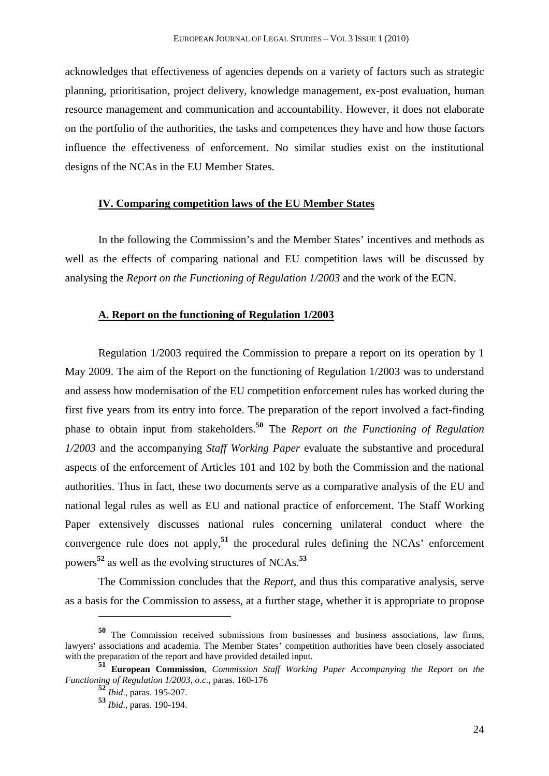acknowledges that effectiveness of agencies depends on a variety of factors such as strategic planning, prioritisation, project delivery, knowledge management, ex-post evaluation, human resource management and communication and accountability. However, it does not elaborate on the portfolio of the authorities, the tasks and competences they have and how those factors influence the effectiveness of enforcement. No similar studies exist on the institutional designs of the NCAs in the EU Member States.

## **IV. Comparing competition laws of the EU Member States**

In the following the Commission's and the Member States' incentives and methods as well as the effects of comparing national and EU competition laws will be discussed by analysing the *Report on the Functioning of Regulation 1/2003* and the work of the ECN.

#### **A. Report on the functioning of Regulation 1/2003**

Regulation 1/2003 required the Commission to prepare a report on its operation by 1 May 2009. The aim of the Report on the functioning of Regulation 1/2003 was to understand and assess how modernisation of the EU competition enforcement rules has worked during the first five years from its entry into force. The preparation of the report involved a fact-finding phase to obtain input from stakeholders.**<sup>50</sup>** The *Report on the Functioning of Regulation 1/2003* and the accompanying *Staff Working Paper* evaluate the substantive and procedural aspects of the enforcement of Articles 101 and 102 by both the Commission and the national authorities. Thus in fact, these two documents serve as a comparative analysis of the EU and national legal rules as well as EU and national practice of enforcement. The Staff Working Paper extensively discusses national rules concerning unilateral conduct where the convergence rule does not apply,**<sup>51</sup>** the procedural rules defining the NCAs' enforcement powers**<sup>52</sup>** as well as the evolving structures of NCAs.**<sup>53</sup>**

The Commission concludes that the *Report*, and thus this comparative analysis, serve as a basis for the Commission to assess, at a further stage, whether it is appropriate to propose

**<sup>50</sup>** The Commission received submissions from businesses and business associations, law firms, lawyers' associations and academia. The Member States' competition authorities have been closely associated with the preparation of the report and have provided detailed input.

**<sup>51</sup> European Commission**, *Commission Staff Working Paper Accompanying the Report on the Functioning of Regulation 1/2003*, *o.c.*, paras. 160-176

**<sup>52</sup>** *Ibid*., paras. 195-207.

**<sup>53</sup>** *Ibid*., paras. 190-194.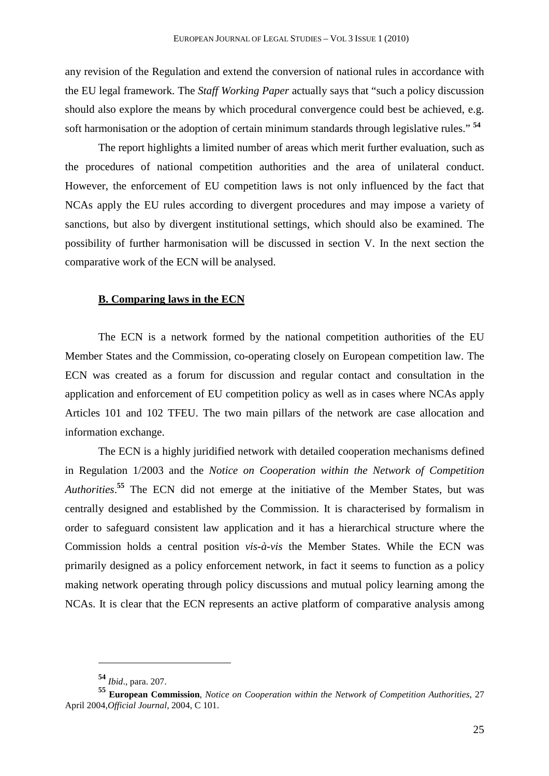any revision of the Regulation and extend the conversion of national rules in accordance with the EU legal framework. The *Staff Working Paper* actually says that "such a policy discussion should also explore the means by which procedural convergence could best be achieved, e.g. soft harmonisation or the adoption of certain minimum standards through legislative rules." **<sup>54</sup>**

The report highlights a limited number of areas which merit further evaluation, such as the procedures of national competition authorities and the area of unilateral conduct. However, the enforcement of EU competition laws is not only influenced by the fact that NCAs apply the EU rules according to divergent procedures and may impose a variety of sanctions, but also by divergent institutional settings, which should also be examined. The possibility of further harmonisation will be discussed in section V. In the next section the comparative work of the ECN will be analysed.

## **B. Comparing laws in the ECN**

The ECN is a network formed by the national competition authorities of the EU Member States and the Commission, co-operating closely on European competition law. The ECN was created as a forum for discussion and regular contact and consultation in the application and enforcement of EU competition policy as well as in cases where NCAs apply Articles 101 and 102 TFEU. The two main pillars of the network are case allocation and information exchange.

The ECN is a highly juridified network with detailed cooperation mechanisms defined in Regulation 1/2003 and the *Notice on Cooperation within the Network of Competition Authorities*. **<sup>55</sup>** The ECN did not emerge at the initiative of the Member States, but was centrally designed and established by the Commission. It is characterised by formalism in order to safeguard consistent law application and it has a hierarchical structure where the Commission holds a central position *vis-à-vis* the Member States. While the ECN was primarily designed as a policy enforcement network, in fact it seems to function as a policy making network operating through policy discussions and mutual policy learning among the NCAs. It is clear that the ECN represents an active platform of comparative analysis among

**<sup>54</sup>** *Ibid*., para. 207.

**<sup>55</sup> European Commission**, *Notice on Cooperation within the Network of Competition Authorities*, 27 April 2004,*Official Journal*, 2004, C 101.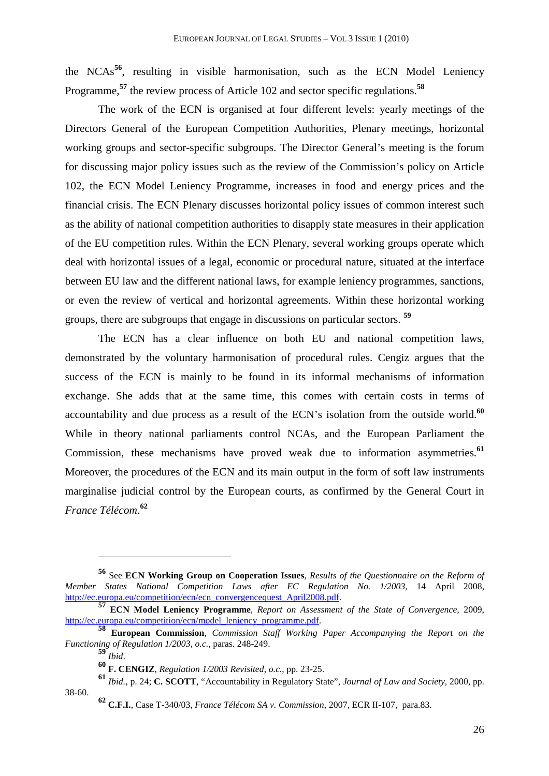the NCAs**<sup>56</sup>**, resulting in visible harmonisation, such as the ECN Model Leniency Programme,**<sup>57</sup>** the review process of Article 102 and sector specific regulations.**<sup>58</sup>**

The work of the ECN is organised at four different levels: yearly meetings of the Directors General of the European Competition Authorities, Plenary meetings, horizontal working groups and sector-specific subgroups. The Director General's meeting is the forum for discussing major policy issues such as the review of the Commission's policy on Article 102, the ECN Model Leniency Programme, increases in food and energy prices and the financial crisis. The ECN Plenary discusses horizontal policy issues of common interest such as the ability of national competition authorities to disapply state measures in their application of the EU competition rules. Within the ECN Plenary, several working groups operate which deal with horizontal issues of a legal, economic or procedural nature, situated at the interface between EU law and the different national laws, for example leniency programmes, sanctions, or even the review of vertical and horizontal agreements. Within these horizontal working groups, there are subgroups that engage in discussions on particular sectors. **<sup>59</sup>**

The ECN has a clear influence on both EU and national competition laws, demonstrated by the voluntary harmonisation of procedural rules. Cengiz argues that the success of the ECN is mainly to be found in its informal mechanisms of information exchange. She adds that at the same time, this comes with certain costs in terms of accountability and due process as a result of the ECN's isolation from the outside world.**<sup>60</sup>** While in theory national parliaments control NCAs, and the European Parliament the Commission, these mechanisms have proved weak due to information asymmetries.**<sup>61</sup>** Moreover, the procedures of the ECN and its main output in the form of soft law instruments marginalise judicial control by the European courts, as confirmed by the General Court in *France Télécom*. **62**

**<sup>56</sup>** See **ECN Working Group on Cooperation Issues**, *Results of the Questionnaire on the Reform of Member States National Competition Laws after EC Regulation No. 1/2003*, 14 April 2008, http://ec.europa.eu/competition/ecn/ecn\_convergencequest\_April2008.pdf.

**<sup>57</sup> ECN Model Leniency Programme**, *Report on Assessment of the State of Convergence*, 2009, http://ec.europa.eu/competition/ecn/model\_leniency\_programme.pdf.

**<sup>58</sup> European Commission**, *Commission Staff Working Paper Accompanying the Report on the Functioning of Regulation 1/2003*, *o.c.*, paras. 248-249.

**<sup>59</sup>** *Ibid*.

**<sup>60</sup> F. CENGIZ**, *Regulation 1/2003 Revisited*, *o.c.*, pp. 23-25.

**<sup>61</sup>** *Ibid.*, p. 24; **C. SCOTT**, "Accountability in Regulatory State", *Journal of Law and Society*, 2000, pp. 38-60.

**<sup>62</sup> C.F.I.**, Case T-340/03, *France Télécom SA v. Commission*, 2007, ECR II-107, para.83.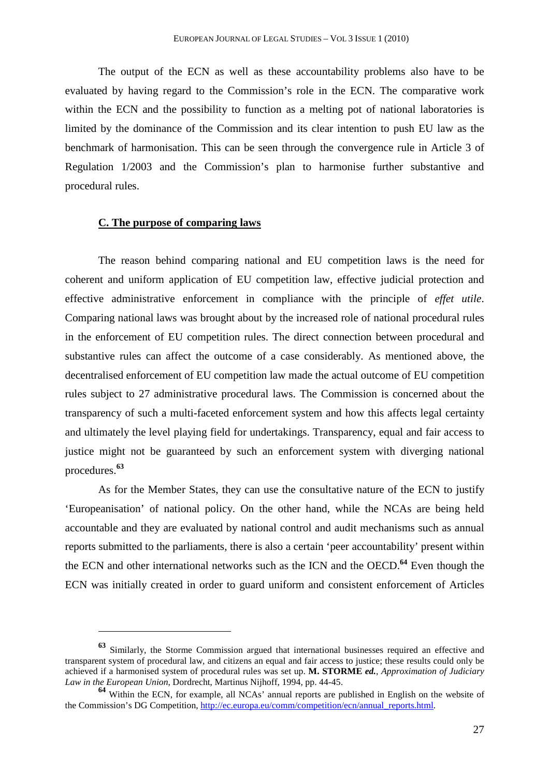The output of the ECN as well as these accountability problems also have to be evaluated by having regard to the Commission's role in the ECN. The comparative work within the ECN and the possibility to function as a melting pot of national laboratories is limited by the dominance of the Commission and its clear intention to push EU law as the benchmark of harmonisation. This can be seen through the convergence rule in Article 3 of Regulation 1/2003 and the Commission's plan to harmonise further substantive and procedural rules.

#### **C. The purpose of comparing laws**

 $\overline{a}$ 

The reason behind comparing national and EU competition laws is the need for coherent and uniform application of EU competition law, effective judicial protection and effective administrative enforcement in compliance with the principle of *effet utile*. Comparing national laws was brought about by the increased role of national procedural rules in the enforcement of EU competition rules. The direct connection between procedural and substantive rules can affect the outcome of a case considerably. As mentioned above, the decentralised enforcement of EU competition law made the actual outcome of EU competition rules subject to 27 administrative procedural laws. The Commission is concerned about the transparency of such a multi-faceted enforcement system and how this affects legal certainty and ultimately the level playing field for undertakings. Transparency, equal and fair access to justice might not be guaranteed by such an enforcement system with diverging national procedures.**<sup>63</sup>**

As for the Member States, they can use the consultative nature of the ECN to justify 'Europeanisation' of national policy. On the other hand, while the NCAs are being held accountable and they are evaluated by national control and audit mechanisms such as annual reports submitted to the parliaments, there is also a certain 'peer accountability' present within the ECN and other international networks such as the ICN and the OECD.**<sup>64</sup>** Even though the ECN was initially created in order to guard uniform and consistent enforcement of Articles

**<sup>63</sup>** Similarly, the Storme Commission argued that international businesses required an effective and transparent system of procedural law, and citizens an equal and fair access to justice; these results could only be achieved if a harmonised system of procedural rules was set up. **M. STORME** *ed.*, *Approximation of Judiciary Law in the European Union*, Dordrecht, Martinus Nijhoff, 1994, pp. 44-45.

**<sup>64</sup>** Within the ECN, for example, all NCAs' annual reports are published in English on the website of the Commission's DG Competition, http://ec.europa.eu/comm/competition/ecn/annual\_reports.html.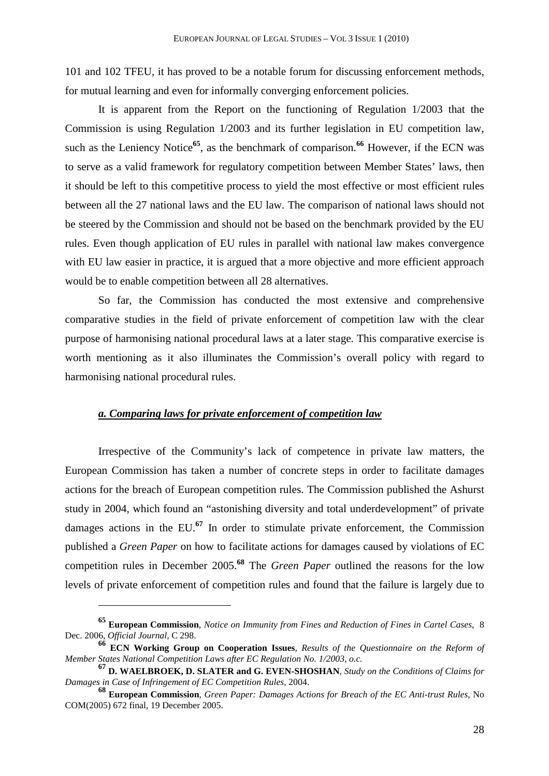101 and 102 TFEU, it has proved to be a notable forum for discussing enforcement methods, for mutual learning and even for informally converging enforcement policies.

It is apparent from the Report on the functioning of Regulation 1/2003 that the Commission is using Regulation 1/2003 and its further legislation in EU competition law, such as the Leniency Notice<sup>65</sup>, as the benchmark of comparison.<sup>66</sup> However, if the ECN was to serve as a valid framework for regulatory competition between Member States' laws, then it should be left to this competitive process to yield the most effective or most efficient rules between all the 27 national laws and the EU law. The comparison of national laws should not be steered by the Commission and should not be based on the benchmark provided by the EU rules. Even though application of EU rules in parallel with national law makes convergence with EU law easier in practice, it is argued that a more objective and more efficient approach would be to enable competition between all 28 alternatives.

So far, the Commission has conducted the most extensive and comprehensive comparative studies in the field of private enforcement of competition law with the clear purpose of harmonising national procedural laws at a later stage. This comparative exercise is worth mentioning as it also illuminates the Commission's overall policy with regard to harmonising national procedural rules.

## *a. Comparing laws for private enforcement of competition law*

 $\overline{a}$ 

Irrespective of the Community's lack of competence in private law matters, the European Commission has taken a number of concrete steps in order to facilitate damages actions for the breach of European competition rules. The Commission published the Ashurst study in 2004, which found an "astonishing diversity and total underdevelopment" of private damages actions in the EU.**<sup>67</sup>** In order to stimulate private enforcement, the Commission published a *Green Paper* on how to facilitate actions for damages caused by violations of EC competition rules in December 2005.**<sup>68</sup>** The *Green Paper* outlined the reasons for the low levels of private enforcement of competition rules and found that the failure is largely due to

**<sup>65</sup> European Commission**, *Notice on Immunity from Fines and Reduction of Fines in Cartel Cases*, 8 Dec. 2006, *Official Journal*, C 298.

**<sup>66</sup> ECN Working Group on Cooperation Issues**, *Results of the Questionnaire on the Reform of Member States National Competition Laws after EC Regulation No. 1/2003*, *o.c.*

**<sup>67</sup> D. WAELBROEK, D. SLATER and G. EVEN-SHOSHAN**, *Study on the Conditions of Claims for Damages in Case of Infringement of EC Competition Rules*, 2004.

**<sup>68</sup> European Commission**, *Green Paper: Damages Actions for Breach of the EC Anti-trust Rules*, No COM(2005) 672 final, 19 December 2005.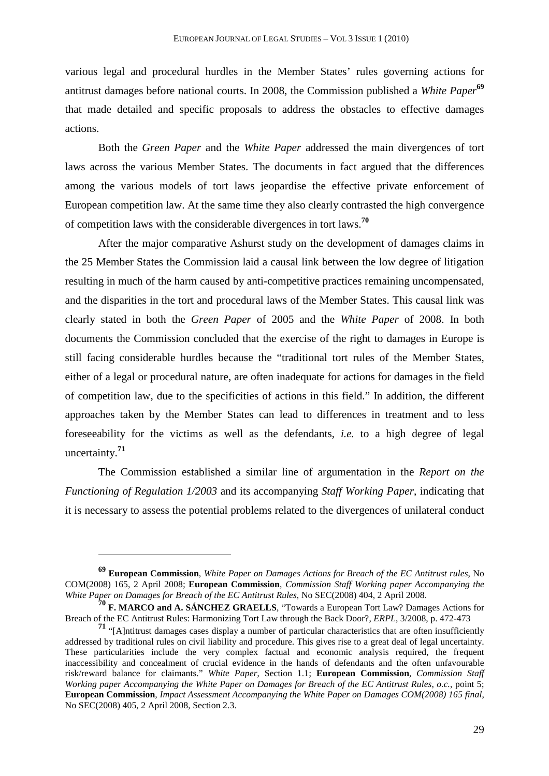various legal and procedural hurdles in the Member States' rules governing actions for antitrust damages before national courts. In 2008, the Commission published a *White Paper***<sup>69</sup>** that made detailed and specific proposals to address the obstacles to effective damages actions.

Both the *Green Paper* and the *White Paper* addressed the main divergences of tort laws across the various Member States. The documents in fact argued that the differences among the various models of tort laws jeopardise the effective private enforcement of European competition law. At the same time they also clearly contrasted the high convergence of competition laws with the considerable divergences in tort laws.**<sup>70</sup>**

After the major comparative Ashurst study on the development of damages claims in the 25 Member States the Commission laid a causal link between the low degree of litigation resulting in much of the harm caused by anti-competitive practices remaining uncompensated, and the disparities in the tort and procedural laws of the Member States. This causal link was clearly stated in both the *Green Paper* of 2005 and the *White Paper* of 2008. In both documents the Commission concluded that the exercise of the right to damages in Europe is still facing considerable hurdles because the "traditional tort rules of the Member States, either of a legal or procedural nature, are often inadequate for actions for damages in the field of competition law, due to the specificities of actions in this field." In addition, the different approaches taken by the Member States can lead to differences in treatment and to less foreseeability for the victims as well as the defendants, *i.e.* to a high degree of legal uncertainty.**<sup>71</sup>**

The Commission established a similar line of argumentation in the *Report on the Functioning of Regulation 1/2003* and its accompanying *Staff Working Paper*, indicating that it is necessary to assess the potential problems related to the divergences of unilateral conduct

**<sup>69</sup> European Commission**, *White Paper on Damages Actions for Breach of the EC Antitrust rules*, No COM(2008) 165, 2 April 2008; **European Commission**, *Commission Staff Working paper Accompanying the White Paper on Damages for Breach of the EC Antitrust Rules*, No SEC(2008) 404, 2 April 2008.

**<sup>70</sup> F. MARCO and A. SÁNCHEZ GRAELLS**, "Towards a European Tort Law? Damages Actions for Breach of the EC Antitrust Rules: Harmonizing Tort Law through the Back Door?, *ERPL*, 3/2008, p. 472-473

**<sup>71</sup>** "[A]ntitrust damages cases display a number of particular characteristics that are often insufficiently addressed by traditional rules on civil liability and procedure. This gives rise to a great deal of legal uncertainty. These particularities include the very complex factual and economic analysis required, the frequent inaccessibility and concealment of crucial evidence in the hands of defendants and the often unfavourable risk/reward balance for claimants." *White Paper*, Section 1.1; **European Commission**, *Commission Staff Working paper Accompanying the White Paper on Damages for Breach of the EC Antitrust Rules*, *o.c.*, point 5; **European Commission**, *Impact Assessment Accompanying the White Paper on Damages COM(2008) 165 final*, No SEC(2008) 405, 2 April 2008, Section 2.3.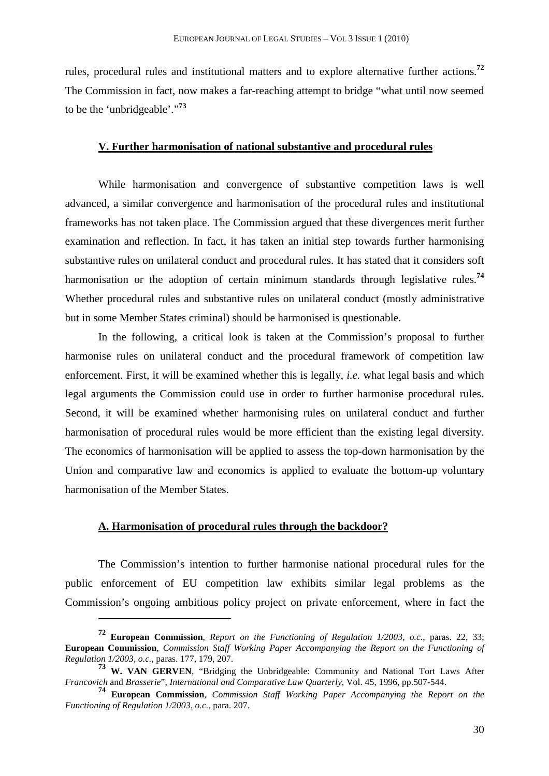rules, procedural rules and institutional matters and to explore alternative further actions.**<sup>72</sup>** The Commission in fact, now makes a far-reaching attempt to bridge "what until now seemed to be the 'unbridgeable'."**<sup>73</sup>**

## **V. Further harmonisation of national substantive and procedural rules**

While harmonisation and convergence of substantive competition laws is well advanced, a similar convergence and harmonisation of the procedural rules and institutional frameworks has not taken place. The Commission argued that these divergences merit further examination and reflection. In fact, it has taken an initial step towards further harmonising substantive rules on unilateral conduct and procedural rules. It has stated that it considers soft harmonisation or the adoption of certain minimum standards through legislative rules.<sup>74</sup> Whether procedural rules and substantive rules on unilateral conduct (mostly administrative but in some Member States criminal) should be harmonised is questionable.

In the following, a critical look is taken at the Commission's proposal to further harmonise rules on unilateral conduct and the procedural framework of competition law enforcement. First, it will be examined whether this is legally, *i.e.* what legal basis and which legal arguments the Commission could use in order to further harmonise procedural rules. Second, it will be examined whether harmonising rules on unilateral conduct and further harmonisation of procedural rules would be more efficient than the existing legal diversity. The economics of harmonisation will be applied to assess the top-down harmonisation by the Union and comparative law and economics is applied to evaluate the bottom-up voluntary harmonisation of the Member States.

## **A. Harmonisation of procedural rules through the backdoor?**

 $\overline{a}$ 

The Commission's intention to further harmonise national procedural rules for the public enforcement of EU competition law exhibits similar legal problems as the Commission's ongoing ambitious policy project on private enforcement, where in fact the

**<sup>72</sup> European Commission**, *Report on the Functioning of Regulation 1/2003*, *o.c.*, paras. 22, 33; **European Commission**, *Commission Staff Working Paper Accompanying the Report on the Functioning of Regulation 1/2003*, *o.c.*, paras. 177, 179, 207.

**<sup>73</sup> W. VAN GERVEN**, "Bridging the Unbridgeable: Community and National Tort Laws After *Francovich* and *Brasserie*", *International and Comparative Law Quarterly*, Vol. 45, 1996, pp.507-544.

**<sup>74</sup> European Commission**, *Commission Staff Working Paper Accompanying the Report on the Functioning of Regulation 1/2003*, *o.c.*, para. 207.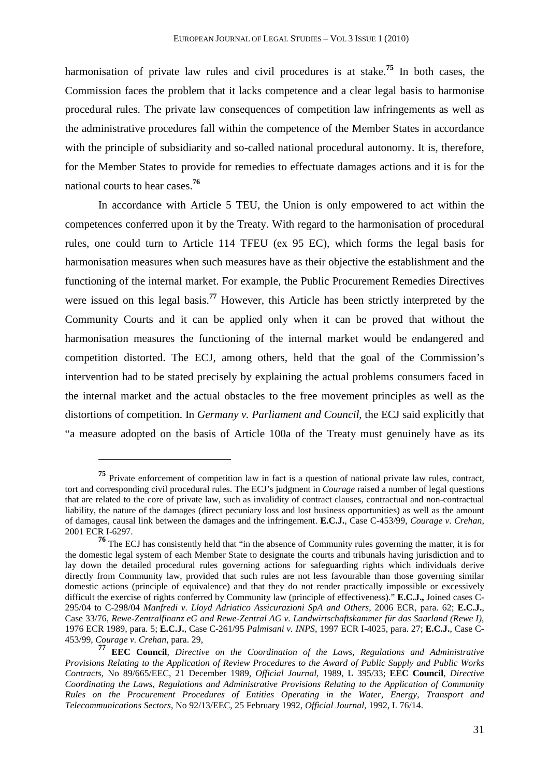harmonisation of private law rules and civil procedures is at stake.**<sup>75</sup>** In both cases, the Commission faces the problem that it lacks competence and a clear legal basis to harmonise procedural rules. The private law consequences of competition law infringements as well as the administrative procedures fall within the competence of the Member States in accordance with the principle of subsidiarity and so-called national procedural autonomy. It is, therefore, for the Member States to provide for remedies to effectuate damages actions and it is for the national courts to hear cases.**<sup>76</sup>**

In accordance with Article 5 TEU, the Union is only empowered to act within the competences conferred upon it by the Treaty. With regard to the harmonisation of procedural rules, one could turn to Article 114 TFEU (ex 95 EC), which forms the legal basis for harmonisation measures when such measures have as their objective the establishment and the functioning of the internal market. For example, the Public Procurement Remedies Directives were issued on this legal basis.**<sup>77</sup>** However, this Article has been strictly interpreted by the Community Courts and it can be applied only when it can be proved that without the harmonisation measures the functioning of the internal market would be endangered and competition distorted. The ECJ, among others, held that the goal of the Commission's intervention had to be stated precisely by explaining the actual problems consumers faced in the internal market and the actual obstacles to the free movement principles as well as the distortions of competition. In *Germany v. Parliament and Council*, the ECJ said explicitly that "a measure adopted on the basis of Article 100a of the Treaty must genuinely have as its

**<sup>75</sup>** Private enforcement of competition law in fact is a question of national private law rules, contract, tort and corresponding civil procedural rules. The ECJ's judgment in *Courage* raised a number of legal questions that are related to the core of private law, such as invalidity of contract clauses, contractual and non-contractual liability, the nature of the damages (direct pecuniary loss and lost business opportunities) as well as the amount of damages, causal link between the damages and the infringement. **E.C.J.**, Case C-453/99, *Courage v. Crehan*, 2001 ECR I-6297.

**<sup>76</sup>** The ECJ has consistently held that "in the absence of Community rules governing the matter, it is for the domestic legal system of each Member State to designate the courts and tribunals having jurisdiction and to lay down the detailed procedural rules governing actions for safeguarding rights which individuals derive directly from Community law, provided that such rules are not less favourable than those governing similar domestic actions (principle of equivalence) and that they do not render practically impossible or excessively difficult the exercise of rights conferred by Community law (principle of effectiveness)." **E.C.J.,** Joined cases C-295/04 to C-298/04 *Manfredi v. Lloyd Adriatico Assicurazioni SpA and Others*, 2006 ECR, para. 62; **E.C.J.**, Case 33/76, *Rewe-Zentralfinanz eG and Rewe-Zentral AG v. Landwirtschaftskammer für das Saarland (Rewe I)*, 1976 ECR 1989, para. 5; **E.C.J.**, Case C-261/95 *Palmisani v. INPS*, 1997 ECR I-4025, para. 27; **E.C.J.**, Case C-453/99, *Courage v. Crehan*, para. 29,

**<sup>77</sup> EEC Council**, *Directive on the Coordination of the Laws, Regulations and Administrative Provisions Relating to the Application of Review Procedures to the Award of Public Supply and Public Works Contracts*, No 89/665/EEC, 21 December 1989, *Official Journal*, 1989, L 395/33; **EEC Council**, *Directive Coordinating the Laws, Regulations and Administrative Provisions Relating to the Application of Community Rules on the Procurement Procedures of Entities Operating in the Water, Energy, Transport and Telecommunications Sectors*, No 92/13/EEC, 25 February 1992, *Official Journal*, 1992, L 76/14.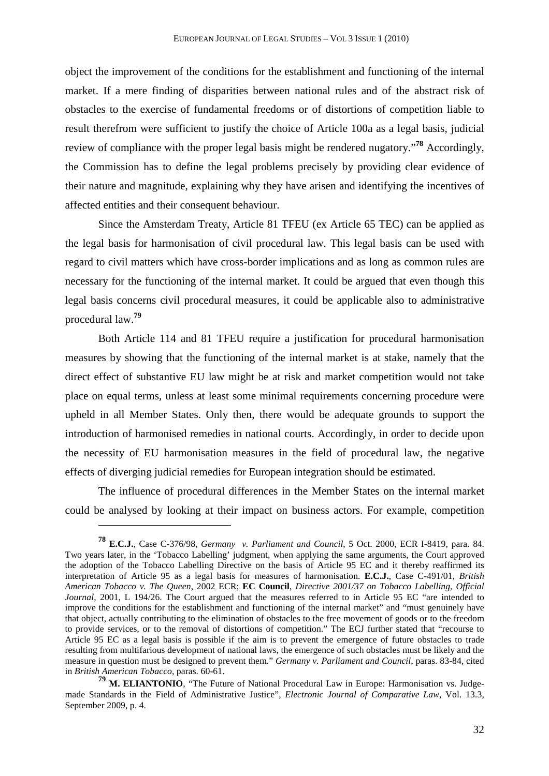object the improvement of the conditions for the establishment and functioning of the internal market. If a mere finding of disparities between national rules and of the abstract risk of obstacles to the exercise of fundamental freedoms or of distortions of competition liable to result therefrom were sufficient to justify the choice of Article 100a as a legal basis, judicial review of compliance with the proper legal basis might be rendered nugatory."**<sup>78</sup>** Accordingly, the Commission has to define the legal problems precisely by providing clear evidence of their nature and magnitude, explaining why they have arisen and identifying the incentives of affected entities and their consequent behaviour.

Since the Amsterdam Treaty, Article 81 TFEU (ex Article 65 TEC) can be applied as the legal basis for harmonisation of civil procedural law. This legal basis can be used with regard to civil matters which have cross-border implications and as long as common rules are necessary for the functioning of the internal market. It could be argued that even though this legal basis concerns civil procedural measures, it could be applicable also to administrative procedural law.**<sup>79</sup>**

Both Article 114 and 81 TFEU require a justification for procedural harmonisation measures by showing that the functioning of the internal market is at stake, namely that the direct effect of substantive EU law might be at risk and market competition would not take place on equal terms, unless at least some minimal requirements concerning procedure were upheld in all Member States. Only then, there would be adequate grounds to support the introduction of harmonised remedies in national courts. Accordingly, in order to decide upon the necessity of EU harmonisation measures in the field of procedural law, the negative effects of diverging judicial remedies for European integration should be estimated.

The influence of procedural differences in the Member States on the internal market could be analysed by looking at their impact on business actors. For example, competition

**<sup>78</sup> E.C.J.**, Case C-376/98, *Germany v. Parliament and Council*, 5 Oct. 2000, ECR I-8419, para. 84. Two years later, in the 'Tobacco Labelling' judgment, when applying the same arguments, the Court approved the adoption of the Tobacco Labelling Directive on the basis of Article 95 EC and it thereby reaffirmed its interpretation of Article 95 as a legal basis for measures of harmonisation. **E.C.J.**, Case C-491/01, *British American Tobacco v. The Queen*, 2002 ECR; **EC Council**, *Directive 2001/37 on Tobacco Labelling*, *Official Journal*, 2001, L 194/26. The Court argued that the measures referred to in Article 95 EC "are intended to improve the conditions for the establishment and functioning of the internal market" and "must genuinely have that object, actually contributing to the elimination of obstacles to the free movement of goods or to the freedom to provide services, or to the removal of distortions of competition." The ECJ further stated that "recourse to Article 95 EC as a legal basis is possible if the aim is to prevent the emergence of future obstacles to trade resulting from multifarious development of national laws, the emergence of such obstacles must be likely and the measure in question must be designed to prevent them." *Germany v. Parliament and Council*, paras. 83-84, cited in *British American Tobacco*, paras. 60-61.

**<sup>79</sup> M. ELIANTONIO**, "The Future of National Procedural Law in Europe: Harmonisation vs. Judgemade Standards in the Field of Administrative Justice", *Electronic Journal of Comparative Law*, Vol. 13.3, September 2009, p. 4.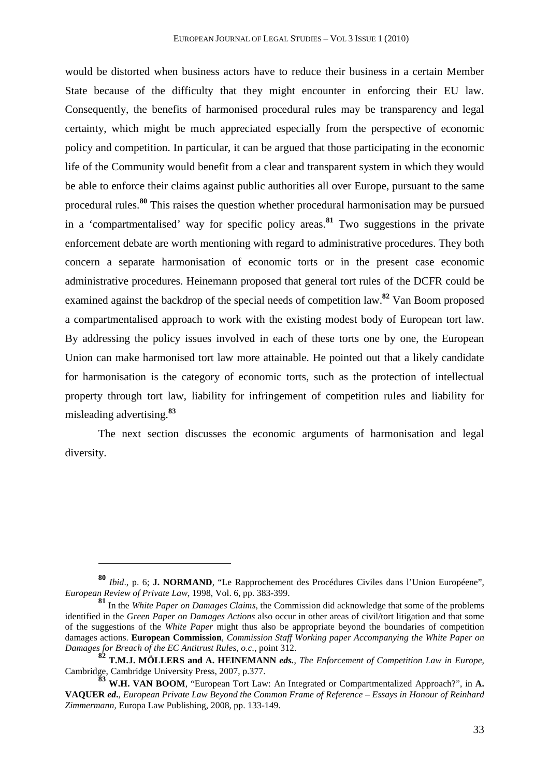would be distorted when business actors have to reduce their business in a certain Member State because of the difficulty that they might encounter in enforcing their EU law. Consequently, the benefits of harmonised procedural rules may be transparency and legal certainty, which might be much appreciated especially from the perspective of economic policy and competition. In particular, it can be argued that those participating in the economic life of the Community would benefit from a clear and transparent system in which they would be able to enforce their claims against public authorities all over Europe, pursuant to the same procedural rules.**<sup>80</sup>** This raises the question whether procedural harmonisation may be pursued in a 'compartmentalised' way for specific policy areas.**<sup>81</sup>** Two suggestions in the private enforcement debate are worth mentioning with regard to administrative procedures. They both concern a separate harmonisation of economic torts or in the present case economic administrative procedures. Heinemann proposed that general tort rules of the DCFR could be examined against the backdrop of the special needs of competition law.**<sup>82</sup>** Van Boom proposed a compartmentalised approach to work with the existing modest body of European tort law. By addressing the policy issues involved in each of these torts one by one, the European Union can make harmonised tort law more attainable. He pointed out that a likely candidate for harmonisation is the category of economic torts, such as the protection of intellectual property through tort law, liability for infringement of competition rules and liability for misleading advertising.**<sup>83</sup>**

The next section discusses the economic arguments of harmonisation and legal diversity.

**<sup>80</sup>** *Ibid*., p. 6; **J. NORMAND**, "Le Rapprochement des Procédures Civiles dans l'Union Européene", *European Review of Private Law*, 1998, Vol. 6, pp. 383-399.

**<sup>81</sup>** In the *White Paper on Damages Claims*, the Commission did acknowledge that some of the problems identified in the *Green Paper on Damages Actions* also occur in other areas of civil/tort litigation and that some of the suggestions of the *White Paper* might thus also be appropriate beyond the boundaries of competition damages actions. **European Commission**, *Commission Staff Working paper Accompanying the White Paper on Damages for Breach of the EC Antitrust Rules*, *o.c.*, point 312.

**<sup>82</sup> T.M.J. MÖLLERS and A. HEINEMANN** *eds.*, *The Enforcement of Competition Law in Europe,*  Cambridge, Cambridge University Press, 2007, p.377.

**<sup>83</sup> W.H. VAN BOOM**, "European Tort Law: An Integrated or Compartmentalized Approach?", in **A. VAQUER** *ed***.**, *European Private Law Beyond the Common Frame of Reference – Essays in Honour of Reinhard Zimmermann,* Europa Law Publishing, 2008, pp. 133-149.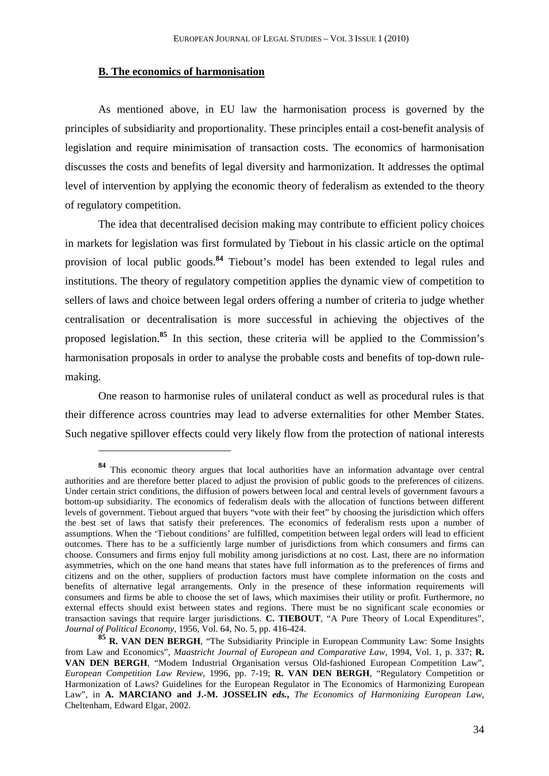## **B. The economics of harmonisation**

 $\overline{a}$ 

As mentioned above, in EU law the harmonisation process is governed by the principles of subsidiarity and proportionality. These principles entail a cost-benefit analysis of legislation and require minimisation of transaction costs. The economics of harmonisation discusses the costs and benefits of legal diversity and harmonization. It addresses the optimal level of intervention by applying the economic theory of federalism as extended to the theory of regulatory competition.

The idea that decentralised decision making may contribute to efficient policy choices in markets for legislation was first formulated by Tiebout in his classic article on the optimal provision of local public goods.**<sup>84</sup>** Tiebout's model has been extended to legal rules and institutions. The theory of regulatory competition applies the dynamic view of competition to sellers of laws and choice between legal orders offering a number of criteria to judge whether centralisation or decentralisation is more successful in achieving the objectives of the proposed legislation.**<sup>85</sup>** In this section, these criteria will be applied to the Commission's harmonisation proposals in order to analyse the probable costs and benefits of top-down rulemaking.

One reason to harmonise rules of unilateral conduct as well as procedural rules is that their difference across countries may lead to adverse externalities for other Member States. Such negative spillover effects could very likely flow from the protection of national interests

**<sup>84</sup>** This economic theory argues that local authorities have an information advantage over central authorities and are therefore better placed to adjust the provision of public goods to the preferences of citizens. Under certain strict conditions, the diffusion of powers between local and central levels of government favours a bottom-up subsidiarity. The economics of federalism deals with the allocation of functions between different levels of government. Tiebout argued that buyers "vote with their feet" by choosing the jurisdiction which offers the best set of laws that satisfy their preferences. The economics of federalism rests upon a number of assumptions. When the 'Tiebout conditions' are fulfilled, competition between legal orders will lead to efficient outcomes. There has to be a sufficiently large number of jurisdictions from which consumers and firms can choose. Consumers and firms enjoy full mobility among jurisdictions at no cost. Last, there are no information asymmetries, which on the one hand means that states have full information as to the preferences of firms and citizens and on the other, suppliers of production factors must have complete information on the costs and benefits of alternative legal arrangements. Only in the presence of these information requirements will consumers and firms be able to choose the set of laws, which maximises their utility or profit. Furthermore, no external effects should exist between states and regions. There must be no significant scale economies or transaction savings that require larger jurisdictions. **C. TIEBOUT**, "A Pure Theory of Local Expenditures", *Journal of Political Economy*, 1956, Vol. 64, No. 5, pp. 416-424.

**<sup>85</sup> R. VAN DEN BERGH**, "The Subsidiarity Principle in European Community Law: Some Insights from Law and Economics", *Maastricht Journal of European and Comparative Law*, 1994, Vol. 1, p. 337; **R. VAN DEN BERGH**, "Modem Industrial Organisation versus Old-fashioned European Competition Law", *European Competition Law Review*, 1996, pp. 7-19; **R. VAN DEN BERGH**, "Regulatory Competition or Harmonization of Laws? Guidelines for the European Regulator in The Economics of Harmonizing European Law", in **A. MARCIANO and J.-M. JOSSELIN** *eds.***,** *The Economics of Harmonizing European Law*, Cheltenham, Edward Elgar, 2002.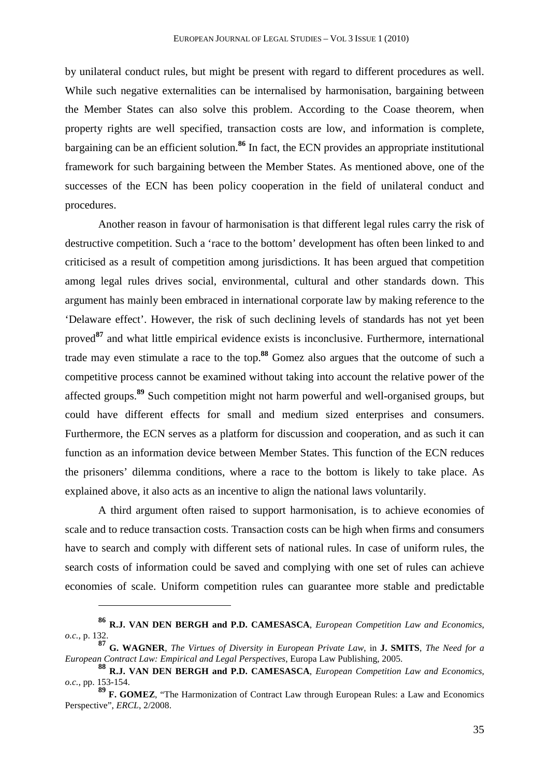by unilateral conduct rules, but might be present with regard to different procedures as well. While such negative externalities can be internalised by harmonisation, bargaining between the Member States can also solve this problem. According to the Coase theorem, when property rights are well specified, transaction costs are low, and information is complete, bargaining can be an efficient solution.**<sup>86</sup>** In fact, the ECN provides an appropriate institutional framework for such bargaining between the Member States. As mentioned above, one of the successes of the ECN has been policy cooperation in the field of unilateral conduct and procedures.

Another reason in favour of harmonisation is that different legal rules carry the risk of destructive competition. Such a 'race to the bottom' development has often been linked to and criticised as a result of competition among jurisdictions. It has been argued that competition among legal rules drives social, environmental, cultural and other standards down. This argument has mainly been embraced in international corporate law by making reference to the 'Delaware effect'. However, the risk of such declining levels of standards has not yet been proved**<sup>87</sup>** and what little empirical evidence exists is inconclusive. Furthermore, international trade may even stimulate a race to the top.**<sup>88</sup>** Gomez also argues that the outcome of such a competitive process cannot be examined without taking into account the relative power of the affected groups.**<sup>89</sup>** Such competition might not harm powerful and well-organised groups, but could have different effects for small and medium sized enterprises and consumers. Furthermore, the ECN serves as a platform for discussion and cooperation, and as such it can function as an information device between Member States. This function of the ECN reduces the prisoners' dilemma conditions, where a race to the bottom is likely to take place. As explained above, it also acts as an incentive to align the national laws voluntarily.

A third argument often raised to support harmonisation, is to achieve economies of scale and to reduce transaction costs. Transaction costs can be high when firms and consumers have to search and comply with different sets of national rules. In case of uniform rules, the search costs of information could be saved and complying with one set of rules can achieve economies of scale. Uniform competition rules can guarantee more stable and predictable

**<sup>86</sup> R.J. VAN DEN BERGH and P.D. CAMESASCA**, *European Competition Law and Economics*, *o.c.*, p. 132.

**<sup>87</sup> G. WAGNER**, *The Virtues of Diversity in European Private Law*, in **J. SMITS**, *The Need for a European Contract Law: Empirical and Legal Perspectives*, Europa Law Publishing, 2005.

**<sup>88</sup> R.J. VAN DEN BERGH and P.D. CAMESASCA**, *European Competition Law and Economics*, *o.c.*, pp. 153-154.

**<sup>89</sup> F. GOMEZ**, "The Harmonization of Contract Law through European Rules: a Law and Economics Perspective", *ERCL*, 2/2008.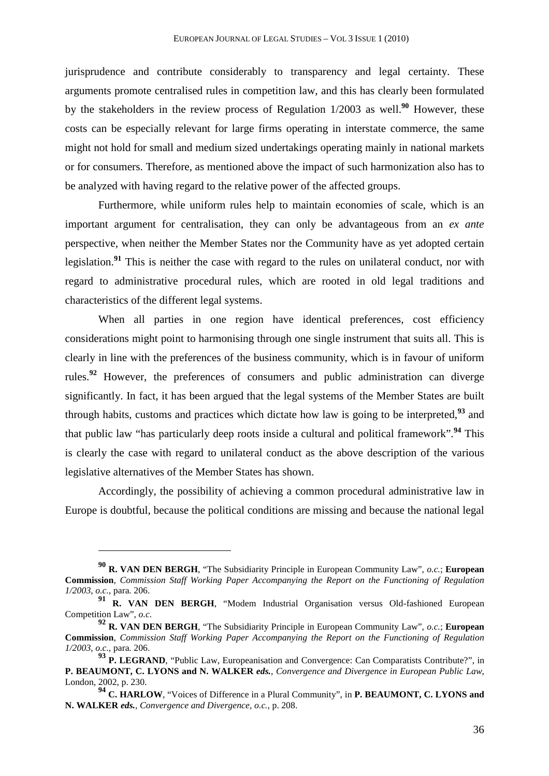jurisprudence and contribute considerably to transparency and legal certainty. These arguments promote centralised rules in competition law, and this has clearly been formulated by the stakeholders in the review process of Regulation 1/2003 as well.**<sup>90</sup>** However, these costs can be especially relevant for large firms operating in interstate commerce, the same might not hold for small and medium sized undertakings operating mainly in national markets or for consumers. Therefore, as mentioned above the impact of such harmonization also has to be analyzed with having regard to the relative power of the affected groups.

Furthermore, while uniform rules help to maintain economies of scale, which is an important argument for centralisation, they can only be advantageous from an *ex ante* perspective, when neither the Member States nor the Community have as yet adopted certain legislation.**<sup>91</sup>** This is neither the case with regard to the rules on unilateral conduct, nor with regard to administrative procedural rules, which are rooted in old legal traditions and characteristics of the different legal systems.

When all parties in one region have identical preferences, cost efficiency considerations might point to harmonising through one single instrument that suits all. This is clearly in line with the preferences of the business community, which is in favour of uniform rules.**<sup>92</sup>** However, the preferences of consumers and public administration can diverge significantly. In fact, it has been argued that the legal systems of the Member States are built through habits, customs and practices which dictate how law is going to be interpreted,**<sup>93</sup>** and that public law "has particularly deep roots inside a cultural and political framework".**<sup>94</sup>** This is clearly the case with regard to unilateral conduct as the above description of the various legislative alternatives of the Member States has shown.

Accordingly, the possibility of achieving a common procedural administrative law in Europe is doubtful, because the political conditions are missing and because the national legal

**<sup>90</sup> R. VAN DEN BERGH**, "The Subsidiarity Principle in European Community Law", *o.c.*; **European Commission**, *Commission Staff Working Paper Accompanying the Report on the Functioning of Regulation 1/2003*, *o.c.*, para. 206.

**<sup>91</sup> R. VAN DEN BERGH**, "Modem Industrial Organisation versus Old-fashioned European Competition Law", *o.c.*

**<sup>92</sup> R. VAN DEN BERGH**, "The Subsidiarity Principle in European Community Law", *o.c.*; **European Commission**, *Commission Staff Working Paper Accompanying the Report on the Functioning of Regulation 1/2003*, *o.c.*, para. 206.

**<sup>93</sup> P. LEGRAND**, "Public Law, Europeanisation and Convergence: Can Comparatists Contribute?", in **P. BEAUMONT, C. LYONS and N. WALKER** *eds.*, *Convergence and Divergence in European Public Law*, London, 2002, p. 230.

**<sup>94</sup> C. HARLOW**, "Voices of Difference in a Plural Community", in **P. BEAUMONT, C. LYONS and N. WALKER** *eds.*, *Convergence and Divergence*, *o.c.*, p. 208.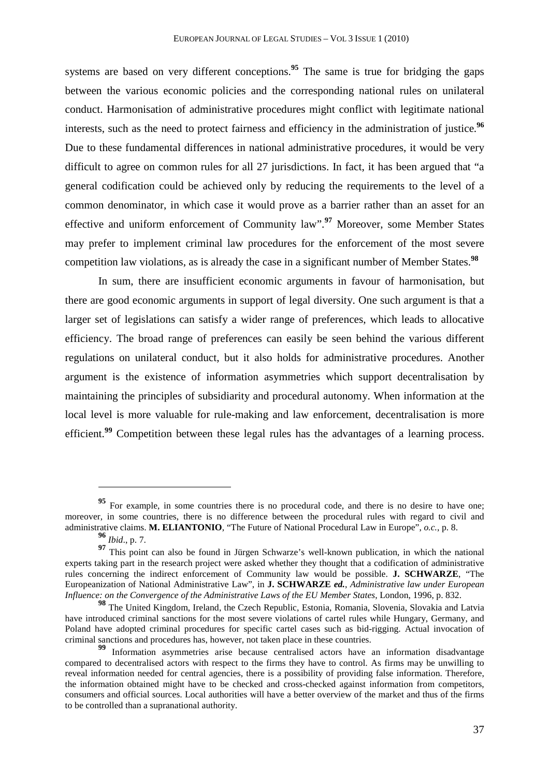systems are based on very different conceptions.<sup>95</sup> The same is true for bridging the gaps between the various economic policies and the corresponding national rules on unilateral conduct. Harmonisation of administrative procedures might conflict with legitimate national interests, such as the need to protect fairness and efficiency in the administration of justice.**<sup>96</sup>** Due to these fundamental differences in national administrative procedures, it would be very difficult to agree on common rules for all 27 jurisdictions. In fact, it has been argued that "a general codification could be achieved only by reducing the requirements to the level of a common denominator, in which case it would prove as a barrier rather than an asset for an effective and uniform enforcement of Community law". **<sup>97</sup>** Moreover, some Member States may prefer to implement criminal law procedures for the enforcement of the most severe competition law violations, as is already the case in a significant number of Member States.**<sup>98</sup>**

In sum, there are insufficient economic arguments in favour of harmonisation, but there are good economic arguments in support of legal diversity. One such argument is that a larger set of legislations can satisfy a wider range of preferences, which leads to allocative efficiency. The broad range of preferences can easily be seen behind the various different regulations on unilateral conduct, but it also holds for administrative procedures. Another argument is the existence of information asymmetries which support decentralisation by maintaining the principles of subsidiarity and procedural autonomy. When information at the local level is more valuable for rule-making and law enforcement, decentralisation is more efficient.<sup>99</sup> Competition between these legal rules has the advantages of a learning process.

**<sup>95</sup>** For example, in some countries there is no procedural code, and there is no desire to have one; moreover, in some countries, there is no difference between the procedural rules with regard to civil and administrative claims. **M. ELIANTONIO**, "The Future of National Procedural Law in Europe", *o.c.*, p. 8.

**<sup>96</sup>** *Ibid*., p. 7.

**<sup>97</sup>** This point can also be found in Jürgen Schwarze's well-known publication, in which the national experts taking part in the research project were asked whether they thought that a codification of administrative rules concerning the indirect enforcement of Community law would be possible. **J. SCHWARZE**, "The Europeanization of National Administrative Law", in **J. SCHWARZE** *ed.*, *Administrative law under European Influence: on the Convergence of the Administrative Laws of the EU Member States*, London, 1996, p. 832.

**<sup>98</sup>** The United Kingdom, Ireland, the Czech Republic, Estonia, Romania, Slovenia, Slovakia and Latvia have introduced criminal sanctions for the most severe violations of cartel rules while Hungary, Germany, and Poland have adopted criminal procedures for specific cartel cases such as bid-rigging. Actual invocation of criminal sanctions and procedures has, however, not taken place in these countries.

**<sup>99</sup>** Information asymmetries arise because centralised actors have an information disadvantage compared to decentralised actors with respect to the firms they have to control. As firms may be unwilling to reveal information needed for central agencies, there is a possibility of providing false information. Therefore, the information obtained might have to be checked and cross-checked against information from competitors, consumers and official sources. Local authorities will have a better overview of the market and thus of the firms to be controlled than a supranational authority.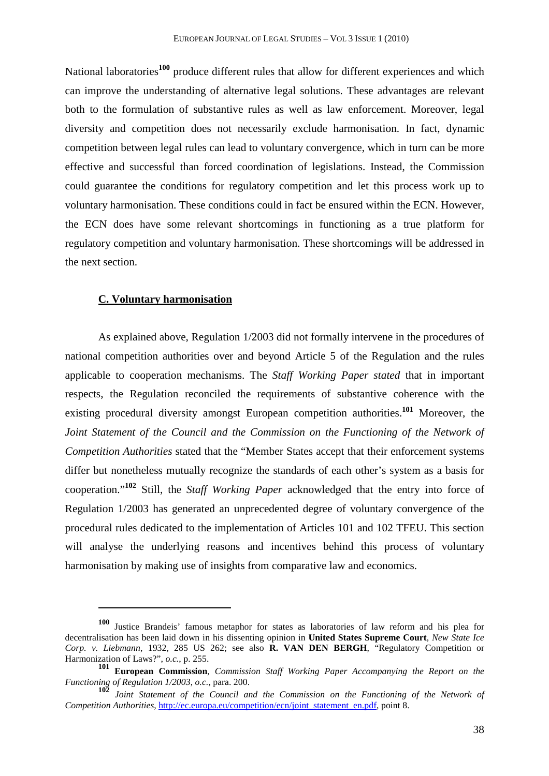National laboratories**<sup>100</sup>** produce different rules that allow for different experiences and which can improve the understanding of alternative legal solutions. These advantages are relevant both to the formulation of substantive rules as well as law enforcement. Moreover, legal diversity and competition does not necessarily exclude harmonisation. In fact, dynamic competition between legal rules can lead to voluntary convergence, which in turn can be more effective and successful than forced coordination of legislations. Instead, the Commission could guarantee the conditions for regulatory competition and let this process work up to voluntary harmonisation. These conditions could in fact be ensured within the ECN. However, the ECN does have some relevant shortcomings in functioning as a true platform for regulatory competition and voluntary harmonisation. These shortcomings will be addressed in the next section.

#### **C. Voluntary harmonisation**

l

As explained above, Regulation 1/2003 did not formally intervene in the procedures of national competition authorities over and beyond Article 5 of the Regulation and the rules applicable to cooperation mechanisms. The *Staff Working Paper stated* that in important respects, the Regulation reconciled the requirements of substantive coherence with the existing procedural diversity amongst European competition authorities.**<sup>101</sup>** Moreover, the *Joint Statement of the Council and the Commission on the Functioning of the Network of Competition Authorities* stated that the "Member States accept that their enforcement systems differ but nonetheless mutually recognize the standards of each other's system as a basis for cooperation."**<sup>102</sup>** Still, the *Staff Working Paper* acknowledged that the entry into force of Regulation 1/2003 has generated an unprecedented degree of voluntary convergence of the procedural rules dedicated to the implementation of Articles 101 and 102 TFEU. This section will analyse the underlying reasons and incentives behind this process of voluntary harmonisation by making use of insights from comparative law and economics.

**<sup>100</sup>** Justice Brandeis' famous metaphor for states as laboratories of law reform and his plea for decentralisation has been laid down in his dissenting opinion in **United States Supreme Court**, *New State Ice Corp. v. Liebmann*, 1932, 285 US 262; see also **R. VAN DEN BERGH**, "Regulatory Competition or Harmonization of Laws?", *o.c.*, p. 255.

**<sup>101</sup> European Commission**, *Commission Staff Working Paper Accompanying the Report on the Functioning of Regulation 1/2003*, *o.c.*, para. 200.

**<sup>102</sup>** *Joint Statement of the Council and the Commission on the Functioning of the Network of Competition Authorities*, http://ec.europa.eu/competition/ecn/joint\_statement\_en.pdf, point 8.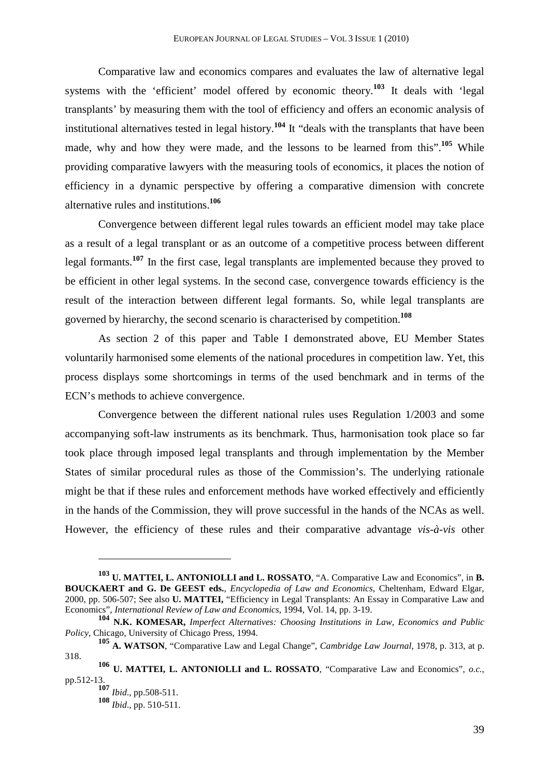Comparative law and economics compares and evaluates the law of alternative legal systems with the 'efficient' model offered by economic theory.<sup>103</sup> It deals with 'legal transplants' by measuring them with the tool of efficiency and offers an economic analysis of institutional alternatives tested in legal history.**<sup>104</sup>** It "deals with the transplants that have been made, why and how they were made, and the lessons to be learned from this".<sup>105</sup> While providing comparative lawyers with the measuring tools of economics, it places the notion of efficiency in a dynamic perspective by offering a comparative dimension with concrete alternative rules and institutions.**<sup>106</sup>**

Convergence between different legal rules towards an efficient model may take place as a result of a legal transplant or as an outcome of a competitive process between different legal formants.**<sup>107</sup>** In the first case, legal transplants are implemented because they proved to be efficient in other legal systems. In the second case, convergence towards efficiency is the result of the interaction between different legal formants. So, while legal transplants are governed by hierarchy, the second scenario is characterised by competition.**<sup>108</sup>**

As section 2 of this paper and Table I demonstrated above, EU Member States voluntarily harmonised some elements of the national procedures in competition law. Yet, this process displays some shortcomings in terms of the used benchmark and in terms of the ECN's methods to achieve convergence.

Convergence between the different national rules uses Regulation 1/2003 and some accompanying soft-law instruments as its benchmark. Thus, harmonisation took place so far took place through imposed legal transplants and through implementation by the Member States of similar procedural rules as those of the Commission's. The underlying rationale might be that if these rules and enforcement methods have worked effectively and efficiently in the hands of the Commission, they will prove successful in the hands of the NCAs as well. However, the efficiency of these rules and their comparative advantage *vis-à-vis* other

**<sup>103</sup> U. MATTEI, L. ANTONIOLLI and L. ROSSATO**, "A. Comparative Law and Economics", in **B. BOUCKAERT and G. De GEEST eds.**, *Encyclopedia of Law and Economics*, Cheltenham, Edward Elgar, 2000, pp. 506-507; See also **U. MATTEI,** "Efficiency in Legal Transplants: An Essay in Comparative Law and Economics", *International Review of Law and Economics*, 1994, Vol. 14, pp. 3-19.

**<sup>104</sup> N.K. KOMESAR,** *Imperfect Alternatives: Choosing Institutions in Law, Economics and Public Policy*, Chicago, University of Chicago Press, 1994.

**<sup>105</sup> A. WATSON**, "Comparative Law and Legal Change", *Cambridge Law Journal*, 1978, p. 313, at p. 318.

**<sup>106</sup> U. MATTEI, L. ANTONIOLLI and L. ROSSATO**, "Comparative Law and Economics", *o.c.*, pp.512-13.

**<sup>107</sup>** *Ibid*., pp.508-511. **<sup>108</sup>** *Ibid*., pp. 510-511.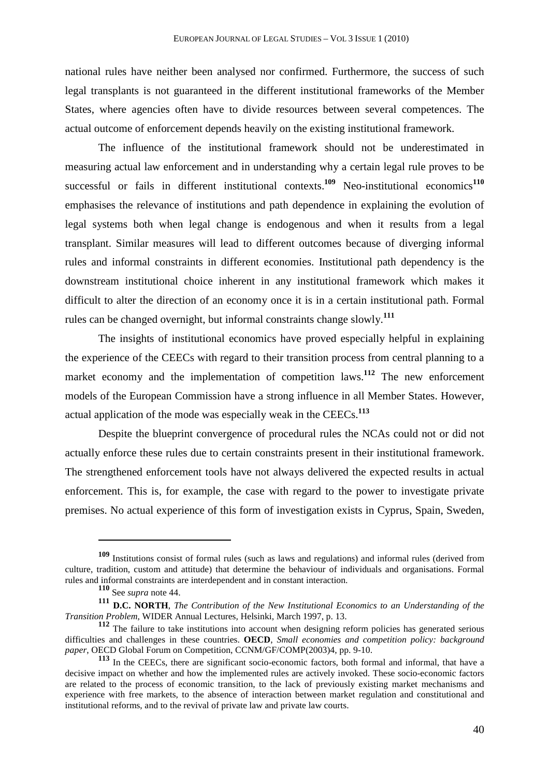national rules have neither been analysed nor confirmed. Furthermore, the success of such legal transplants is not guaranteed in the different institutional frameworks of the Member States, where agencies often have to divide resources between several competences. The actual outcome of enforcement depends heavily on the existing institutional framework.

The influence of the institutional framework should not be underestimated in measuring actual law enforcement and in understanding why a certain legal rule proves to be successful or fails in different institutional contexts.<sup>109</sup> Neo-institutional economics<sup>110</sup> emphasises the relevance of institutions and path dependence in explaining the evolution of legal systems both when legal change is endogenous and when it results from a legal transplant. Similar measures will lead to different outcomes because of diverging informal rules and informal constraints in different economies. Institutional path dependency is the downstream institutional choice inherent in any institutional framework which makes it difficult to alter the direction of an economy once it is in a certain institutional path. Formal rules can be changed overnight, but informal constraints change slowly.**<sup>111</sup>**

The insights of institutional economics have proved especially helpful in explaining the experience of the CEECs with regard to their transition process from central planning to a market economy and the implementation of competition laws.<sup>112</sup> The new enforcement models of the European Commission have a strong influence in all Member States. However, actual application of the mode was especially weak in the CEECs.**<sup>113</sup>**

Despite the blueprint convergence of procedural rules the NCAs could not or did not actually enforce these rules due to certain constraints present in their institutional framework. The strengthened enforcement tools have not always delivered the expected results in actual enforcement. This is, for example, the case with regard to the power to investigate private premises. No actual experience of this form of investigation exists in Cyprus, Spain, Sweden,

**<sup>109</sup>** Institutions consist of formal rules (such as laws and regulations) and informal rules (derived from culture, tradition, custom and attitude) that determine the behaviour of individuals and organisations. Formal rules and informal constraints are interdependent and in constant interaction.

**<sup>110</sup>** See *supra* note 44.

**<sup>111</sup> D.C. NORTH**, *The Contribution of the New Institutional Economics to an Understanding of the Transition Problem*, WIDER Annual Lectures*,* Helsinki, March 1997, p. 13.

**<sup>112</sup>** The failure to take institutions into account when designing reform policies has generated serious difficulties and challenges in these countries. **OECD**, *Small economies and competition policy: background paper*, OECD Global Forum on Competition, CCNM/GF/COMP(2003)4, pp. 9-10.

**<sup>113</sup>** In the CEECs, there are significant socio-economic factors, both formal and informal, that have a decisive impact on whether and how the implemented rules are actively invoked. These socio-economic factors are related to the process of economic transition, to the lack of previously existing market mechanisms and experience with free markets, to the absence of interaction between market regulation and constitutional and institutional reforms, and to the revival of private law and private law courts.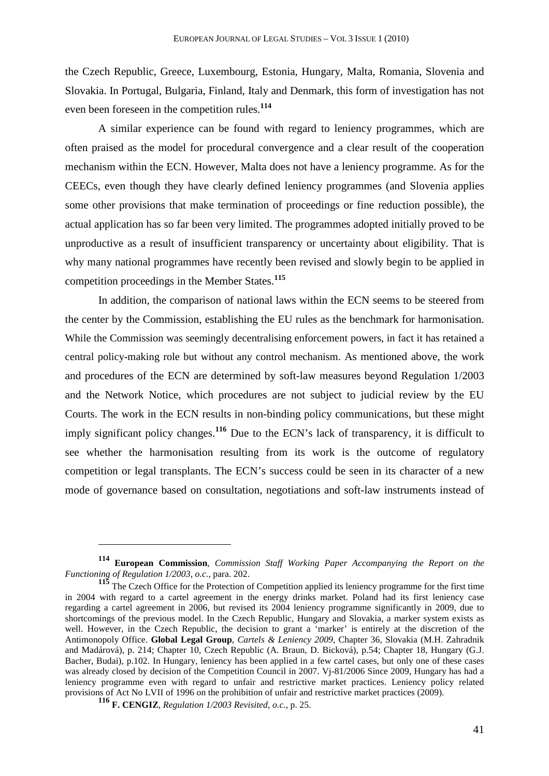the Czech Republic, Greece, Luxembourg, Estonia, Hungary, Malta, Romania, Slovenia and Slovakia. In Portugal, Bulgaria, Finland, Italy and Denmark, this form of investigation has not even been foreseen in the competition rules.**<sup>114</sup>**

A similar experience can be found with regard to leniency programmes, which are often praised as the model for procedural convergence and a clear result of the cooperation mechanism within the ECN. However, Malta does not have a leniency programme. As for the CEECs, even though they have clearly defined leniency programmes (and Slovenia applies some other provisions that make termination of proceedings or fine reduction possible), the actual application has so far been very limited. The programmes adopted initially proved to be unproductive as a result of insufficient transparency or uncertainty about eligibility. That is why many national programmes have recently been revised and slowly begin to be applied in competition proceedings in the Member States.**<sup>115</sup>**

In addition, the comparison of national laws within the ECN seems to be steered from the center by the Commission, establishing the EU rules as the benchmark for harmonisation. While the Commission was seemingly decentralising enforcement powers, in fact it has retained a central policy-making role but without any control mechanism. As mentioned above, the work and procedures of the ECN are determined by soft-law measures beyond Regulation 1/2003 and the Network Notice, which procedures are not subject to judicial review by the EU Courts. The work in the ECN results in non-binding policy communications, but these might imply significant policy changes.**<sup>116</sup>** Due to the ECN's lack of transparency, it is difficult to see whether the harmonisation resulting from its work is the outcome of regulatory competition or legal transplants. The ECN's success could be seen in its character of a new mode of governance based on consultation, negotiations and soft-law instruments instead of

**<sup>114</sup> European Commission**, *Commission Staff Working Paper Accompanying the Report on the Functioning of Regulation 1/2003*, *o.c.*, para. 202.

**<sup>115</sup>** The Czech Office for the Protection of Competition applied its leniency programme for the first time in 2004 with regard to a cartel agreement in the energy drinks market. Poland had its first leniency case regarding a cartel agreement in 2006, but revised its 2004 leniency programme significantly in 2009, due to shortcomings of the previous model. In the Czech Republic, Hungary and Slovakia, a marker system exists as well. However, in the Czech Republic, the decision to grant a 'marker' is entirely at the discretion of the Antimonopoly Office. **Global Legal Group**, *Cartels & Leniency 2009*, Chapter 36, Slovakia (M.H. Zahradnik and Madárová), p. 214; Chapter 10, Czech Republic (A. Braun, D. Bicková), p.54; Chapter 18, Hungary (G.J. Bacher, Budai), p.102. In Hungary, leniency has been applied in a few cartel cases, but only one of these cases was already closed by decision of the Competition Council in 2007. Vj-81/2006 Since 2009, Hungary has had a leniency programme even with regard to unfair and restrictive market practices. Leniency policy related provisions of Act No LVII of 1996 on the prohibition of unfair and restrictive market practices (2009).

**<sup>116</sup> F. CENGIZ**, *Regulation 1/2003 Revisited*, *o.c.*, p. 25.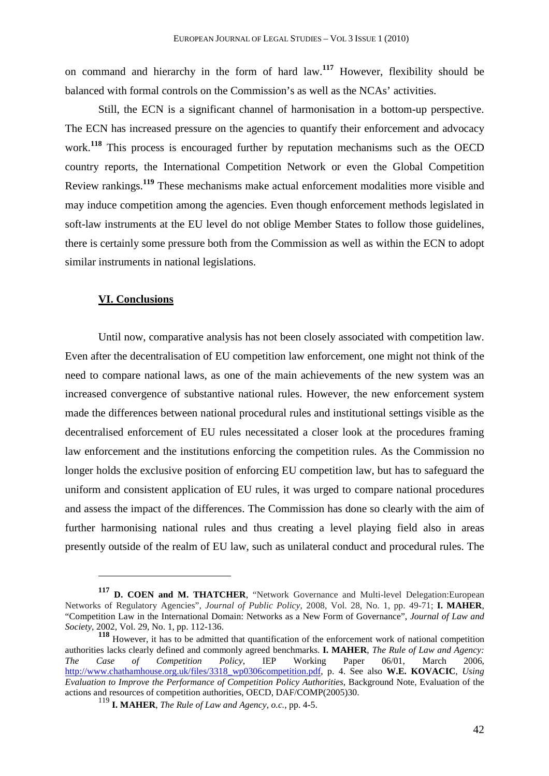on command and hierarchy in the form of hard law.**<sup>117</sup>** However, flexibility should be balanced with formal controls on the Commission's as well as the NCAs' activities.

Still, the ECN is a significant channel of harmonisation in a bottom-up perspective. The ECN has increased pressure on the agencies to quantify their enforcement and advocacy work.**<sup>118</sup>** This process is encouraged further by reputation mechanisms such as the OECD country reports, the International Competition Network or even the Global Competition Review rankings.**<sup>119</sup>** These mechanisms make actual enforcement modalities more visible and may induce competition among the agencies. Even though enforcement methods legislated in soft-law instruments at the EU level do not oblige Member States to follow those guidelines, there is certainly some pressure both from the Commission as well as within the ECN to adopt similar instruments in national legislations.

## **VI. Conclusions**

 $\overline{a}$ 

Until now, comparative analysis has not been closely associated with competition law. Even after the decentralisation of EU competition law enforcement, one might not think of the need to compare national laws, as one of the main achievements of the new system was an increased convergence of substantive national rules. However, the new enforcement system made the differences between national procedural rules and institutional settings visible as the decentralised enforcement of EU rules necessitated a closer look at the procedures framing law enforcement and the institutions enforcing the competition rules. As the Commission no longer holds the exclusive position of enforcing EU competition law, but has to safeguard the uniform and consistent application of EU rules, it was urged to compare national procedures and assess the impact of the differences. The Commission has done so clearly with the aim of further harmonising national rules and thus creating a level playing field also in areas presently outside of the realm of EU law, such as unilateral conduct and procedural rules. The

**<sup>117</sup> D. COEN and M. THATCHER**, "Network Governance and Multi-level Delegation:European Networks of Regulatory Agencies", *Journal of Public Policy*, 2008, Vol. 28, No. 1, pp. 49-71; **I. MAHER**, "Competition Law in the International Domain: Networks as a New Form of Governance", *Journal of Law and Society,* 2002, Vol. 29, No. 1, pp. 112-136.

**<sup>118</sup>** However, it has to be admitted that quantification of the enforcement work of national competition authorities lacks clearly defined and commonly agreed benchmarks. **I. MAHER**, *The Rule of Law and Agency: The Case of Competition Policy*, IEP Working Paper 06/01, March 2006, http://www.chathamhouse.org.uk/files/3318\_wp0306competition.pdf, p. 4. See also **W.E. KOVACIC**, *Using Evaluation to Improve the Performance of Competition Policy Authorities*, Background Note, Evaluation of the actions and resources of competition authorities, OECD, DAF/COMP(2005)30.

<sup>119</sup> **I. MAHER**, *The Rule of Law and Agency*, *o.c.*, pp. 4-5.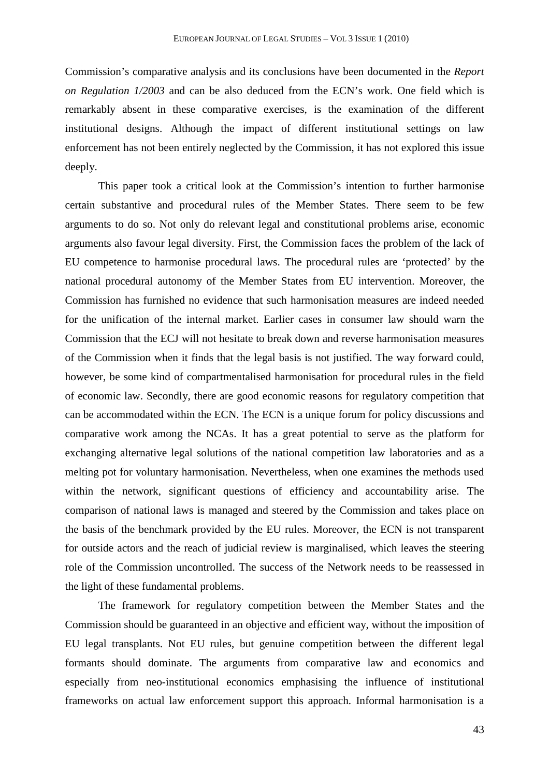Commission's comparative analysis and its conclusions have been documented in the *Report on Regulation 1/2003* and can be also deduced from the ECN's work. One field which is remarkably absent in these comparative exercises, is the examination of the different institutional designs. Although the impact of different institutional settings on law enforcement has not been entirely neglected by the Commission, it has not explored this issue deeply.

This paper took a critical look at the Commission's intention to further harmonise certain substantive and procedural rules of the Member States. There seem to be few arguments to do so. Not only do relevant legal and constitutional problems arise, economic arguments also favour legal diversity. First, the Commission faces the problem of the lack of EU competence to harmonise procedural laws. The procedural rules are 'protected' by the national procedural autonomy of the Member States from EU intervention. Moreover, the Commission has furnished no evidence that such harmonisation measures are indeed needed for the unification of the internal market. Earlier cases in consumer law should warn the Commission that the ECJ will not hesitate to break down and reverse harmonisation measures of the Commission when it finds that the legal basis is not justified. The way forward could, however, be some kind of compartmentalised harmonisation for procedural rules in the field of economic law. Secondly, there are good economic reasons for regulatory competition that can be accommodated within the ECN. The ECN is a unique forum for policy discussions and comparative work among the NCAs. It has a great potential to serve as the platform for exchanging alternative legal solutions of the national competition law laboratories and as a melting pot for voluntary harmonisation. Nevertheless, when one examines the methods used within the network, significant questions of efficiency and accountability arise. The comparison of national laws is managed and steered by the Commission and takes place on the basis of the benchmark provided by the EU rules. Moreover, the ECN is not transparent for outside actors and the reach of judicial review is marginalised, which leaves the steering role of the Commission uncontrolled. The success of the Network needs to be reassessed in the light of these fundamental problems.

The framework for regulatory competition between the Member States and the Commission should be guaranteed in an objective and efficient way, without the imposition of EU legal transplants. Not EU rules, but genuine competition between the different legal formants should dominate. The arguments from comparative law and economics and especially from neo-institutional economics emphasising the influence of institutional frameworks on actual law enforcement support this approach. Informal harmonisation is a